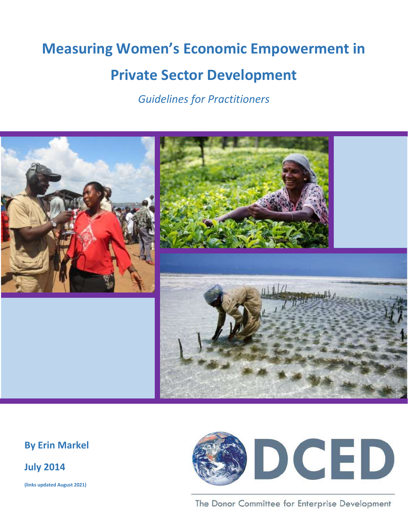# **Measuring Women's Economic Empowerment in**

# **Private Sector Development**

*Guidelines for Practitioners*



## **By Erin Markel**

**July 2014**

**(links updated August 2021)**



The Donor Committee for Enterprise Development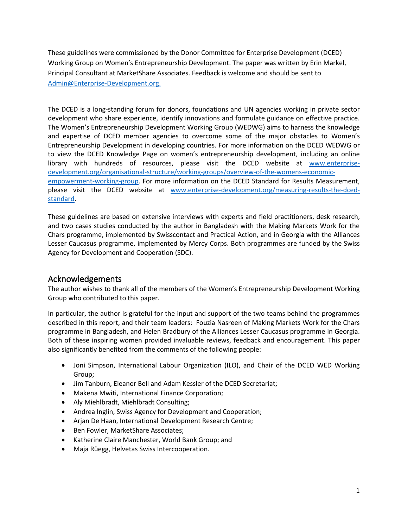These guidelines were commissioned by the Donor Committee for Enterprise Development (DCED) Working Group on Women's Entrepreneurship Development. The paper was written by Erin Markel, Principal Consultant at MarketShare Associates. Feedback is welcome and should be sent to [Admin@Enterprise-Development.org.](mailto:Admin@Enterprise-Development.org)

The DCED is a long-standing forum for donors, foundations and UN agencies working in private sector development who share experience, identify innovations and formulate guidance on effective practice. The Women's Entrepreneurship Development Working Group (WEDWG) aims to harness the knowledge and expertise of DCED member agencies to overcome some of the major obstacles to Women's Entrepreneurship Development in developing countries. For more information on the DCED WEDWG or to view the DCED Knowledge Page on women's entrepreneurship development, including an online library with hundreds of resources, please visit the DCED website at [www.enterprise](http://www.enterprise-development.org/organisational-structure/working-groups/overview-of-the-womens-economic-empowerment-working-group)[development.org/organisational-structure/working-groups/overview-of-the-womens-economic](http://www.enterprise-development.org/organisational-structure/working-groups/overview-of-the-womens-economic-empowerment-working-group)[empowerment-working-group.](http://www.enterprise-development.org/organisational-structure/working-groups/overview-of-the-womens-economic-empowerment-working-group) For more information on the DCED Standard for Results Measurement, please visit the DCED website at [www.enterprise-development.org/measuring-results-the-dced](http://www.enterprise-development.org/measuring-results-the-dced-standard)[standard.](http://www.enterprise-development.org/measuring-results-the-dced-standard)

These guidelines are based on extensive interviews with experts and field practitioners, desk research, and two cases studies conducted by the author in Bangladesh with the Making Markets Work for the Chars programme, implemented by Swisscontact and Practical Action, and in Georgia with the Alliances Lesser Caucasus programme, implemented by Mercy Corps. Both programmes are funded by the Swiss Agency for Development and Cooperation (SDC).

## Acknowledgements

The author wishes to thank all of the members of the Women's Entrepreneurship Development Working Group who contributed to this paper.

In particular, the author is grateful for the input and support of the two teams behind the programmes described in this report, and their team leaders: Fouzia Nasreen of Making Markets Work for the Chars programme in Bangladesh, and Helen Bradbury of the Alliances Lesser Caucasus programme in Georgia. Both of these inspiring women provided invaluable reviews, feedback and encouragement. This paper also significantly benefited from the comments of the following people:

- Joni Simpson, International Labour Organization (ILO), and Chair of the DCED WED Working Group;
- Jim Tanburn, Eleanor Bell and Adam Kessler of the DCED Secretariat;
- Makena Mwiti, International Finance Corporation;
- Aly Miehlbradt, Miehlbradt Consulting;
- Andrea Inglin, Swiss Agency for Development and Cooperation;
- Arjan De Haan, International Development Research Centre;
- Ben Fowler, MarketShare Associates;
- Katherine Claire Manchester, World Bank Group; and
- Maja Rüegg, Helvetas Swiss Intercooperation.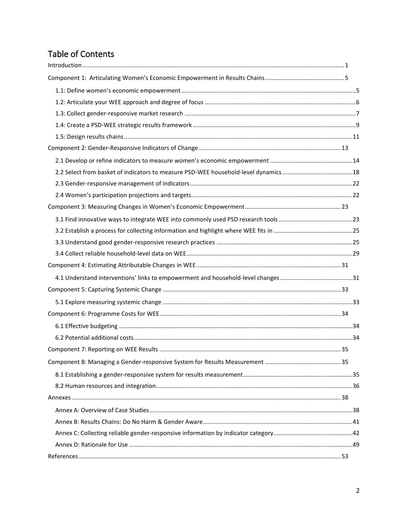## Table of Contents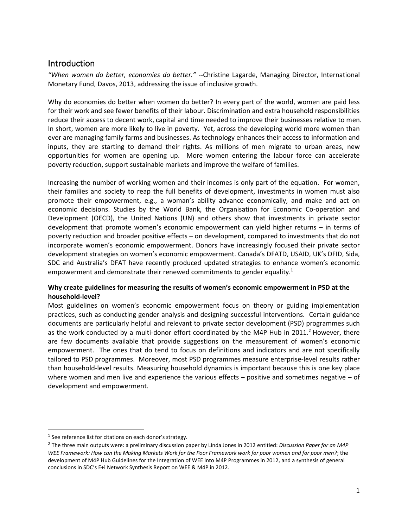## <span id="page-3-0"></span>Introduction

*"When women do better, economies do better."* -[-Christine Lagarde,](http://www.thedailybeast.com/articles/2013/01/23/christine-lagarde-at-davos-europe-must-guard-against-relapse-in-2013.html) Managing Director, International Monetary Fund, Davos, 2013, addressing the issue of inclusive growth.

Why do economies do better when women do better? In every part of the world, women are paid less for their work and see fewer benefits of their labour. Discrimination and extra household responsibilities reduce their access to decent work, capital and time needed to improve their businesses relative to men. In short, women are more likely to live in poverty. Yet, across the developing world more women than ever are managing family farms and businesses. As technology enhances their access to information and inputs, they are starting to demand their rights. As millions of men migrate to urban areas, new opportunities for women are opening up. More women entering the labour force can accelerate poverty reduction, support sustainable markets and improve the welfare of families.

Increasing the number of working women and their incomes is only part of the equation. For women, their families and society to reap the full benefits of development, investments in women must also promote their empowerment, e.g., a woman's ability advance economically, and make and act on economic decisions. Studies by the World Bank, the Organisation for Economic Co-operation and Development (OECD), the United Nations (UN) and others show that investments in private sector development that promote women's economic empowerment can yield higher returns – in terms of poverty reduction and broader positive effects – on development, compared to investments that do not incorporate women's economic empowerment. Donors have increasingly focused their private sector development strategies on women's economic empowerment. Canada's DFATD, USAID, UK's DFID, Sida, SDC and Australia's DFAT have recently produced updated strategies to enhance women's economic empowerment and demonstrate their renewed commitments to gender equality.<sup>1</sup>

## **Why create guidelines for measuring the results of women's economic empowerment in PSD at the household-level?**

Most guidelines on women's economic empowerment focus on theory or guiding implementation practices, such as conducting gender analysis and designing successful interventions. Certain guidance documents are particularly helpful and relevant to private sector development (PSD) programmes such as the work conducted by a multi-donor effort coordinated by the M4P Hub in  $2011<sup>2</sup>$  However, there are few documents available that provide suggestions on the measurement of women's economic empowerment. The ones that do tend to focus on definitions and indicators and are not specifically tailored to PSD programmes. Moreover, most PSD programmes measure enterprise-level results rather than household-level results. Measuring household dynamics is important because this is one key place where women and men live and experience the various effects – positive and sometimes negative – of development and empowerment.

 $<sup>1</sup>$  See reference list for citations on each donor's strategy.</sup>

<sup>2</sup> The three main outputs were: a preliminary discussion paper by Linda Jones in 2012 entitled: *Discussion Paper for an M4P WEE Framework: How can the Making Markets Work for the Poor Framework work for poor women and for poor men?*; the development of M4P Hub Guidelines for the Integration of WEE into M4P Programmes in 2012, and a synthesis of general conclusions in SDC's E+i Network Synthesis Report on WEE & M4P in 2012.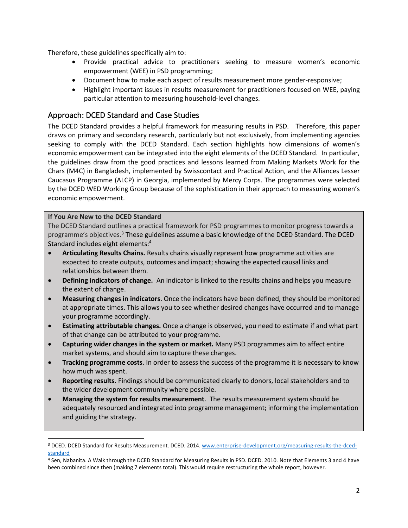Therefore, these guidelines specifically aim to:

- Provide practical advice to practitioners seeking to measure women's economic empowerment (WEE) in PSD programming;
- Document how to make each aspect of results measurement more gender-responsive;
- Highlight important issues in results measurement for practitioners focused on WEE, paying particular attention to measuring household-level changes.

## Approach: DCED Standard and Case Studies

The DCED Standard provides a helpful framework for measuring results in PSD. Therefore, this paper draws on primary and secondary research, particularly but not exclusively, from implementing agencies seeking to comply with the DCED Standard. Each section highlights how dimensions of women's economic empowerment can be integrated into the eight elements of the DCED Standard. In particular, the guidelines draw from the good practices and lessons learned from Making Markets Work for the Chars (M4C) in Bangladesh, implemented by Swisscontact and Practical Action, and the Alliances Lesser Caucasus Programme (ALCP) in Georgia, implemented by Mercy Corps. The programmes were selected by the DCED WED Working Group because of the sophistication in their approach to measuring women's economic empowerment.

#### **If You Are New to the DCED Standard**

The DCED Standard outlines a practical framework for PSD programmes to monitor progress towards a programme's objectives.<sup>3</sup> These guidelines assume a basic knowledge of the DCED Standard. The DCED Standard includes eight elements:<sup>4</sup>

- **Articulating Results Chains.** Results chains visually represent how programme activities are expected to create outputs, outcomes and impact; showing the expected causal links and relationships between them.
- **Defining indicators of change.** An indicator is linked to the results chains and helps you measure the extent of change.
- **Measuring changes in indicators**. Once the indicators have been defined, they should be monitored at appropriate times. This allows you to see whether desired changes have occurred and to manage your programme accordingly.
- **Estimating attributable changes.** Once a change is observed, you need to estimate if and what part of that change can be attributed to your programme.
- **Capturing wider changes in the system or market.** Many PSD programmes aim to affect entire market systems, and should aim to capture these changes.
- **Tracking programme costs**. In order to assess the success of the programme it is necessary to know how much was spent.
- **Reporting results.** Findings should be communicated clearly to donors, local stakeholders and to the wider development community where possible.
- **Managing the system for results measurement**. The results measurement system should be adequately resourced and integrated into programme management; informing the implementation and guiding the strategy.

<sup>&</sup>lt;sup>3</sup> DCED. DCED Standard for Results Measurement. DCED. 2014[. www.enterprise-development.org/measuring-results-the-dced](http://www.enterprise-development.org/measuring-results-the-dced-standard)[standard](http://www.enterprise-development.org/measuring-results-the-dced-standard)

<sup>4</sup> Sen, Nabanita. A Walk through the DCED Standard for Measuring Results in PSD. DCED. 2010. Note that Elements 3 and 4 have been combined since then (making 7 elements total). This would require restructuring the whole report, however.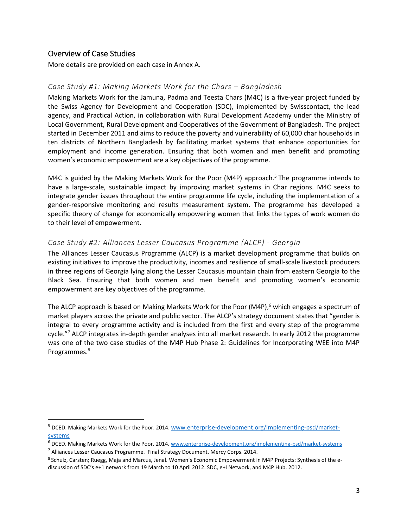## Overview of Case Studies

More details are provided on each case in Annex A.

#### *Case Study #1: Making Markets Work for the Chars – Bangladesh*

Making Markets Work for the Jamuna, Padma and Teesta Chars (M4C) is a five-year project funded by the Swiss Agency for Development and Cooperation (SDC), implemented by Swisscontact, the lead agency, and Practical Action, in collaboration with Rural Development Academy under the Ministry of Local Government, Rural Development and Cooperatives of the Government of Bangladesh. The project started in December 2011 and aims to reduce the poverty and vulnerability of 60,000 char households in ten districts of Northern Bangladesh by facilitating market systems that enhance opportunities for employment and income generation. Ensuring that both women and men benefit and promoting women's economic empowerment are a key objectives of the programme.

M4C is guided by the Making Markets Work for the Poor (M4P) approach.<sup>5</sup> The programme intends to have a large-scale, sustainable impact by improving market systems in Char regions. M4C seeks to integrate gender issues throughout the entire programme life cycle, including the implementation of a gender-responsive monitoring and results measurement system. The programme has developed a specific theory of change for economically empowering women that links the types of work women do to their level of empowerment.

#### *Case Study #2: Alliances Lesser Caucasus Programme (ALCP) - Georgia*

The Alliances Lesser Caucasus Programme (ALCP) is a market development programme that builds on existing initiatives to improve the productivity, incomes and resilience of small-scale livestock producers in three regions of Georgia lying along the Lesser Caucasus mountain chain from eastern Georgia to the Black Sea. Ensuring that both women and men benefit and promoting women's economic empowerment are key objectives of the programme.

The ALCP approach is based on Making Markets Work for the Poor (M4P),<sup>6</sup> which engages a spectrum of market players across the private and public sector. The ALCP's strategy document states that "gender is integral to every programme activity and is included from the first and every step of the programme cycle."<sup>7</sup> ALCP integrates in-depth gender analyses into all market research. In early 2012 the programme was one of the two case studies of the M4P Hub Phase 2: Guidelines for Incorporating WEE into M4P Programmes.<sup>8</sup>

<sup>5</sup> DCED. Making Markets Work for the Poor. 2014. [www.enterprise-development.org/implementing-psd/market](http://www.enterprise-development.org/implementing-psd/market-systems)[systems](http://www.enterprise-development.org/implementing-psd/market-systems)

<sup>6</sup> DCED. Making Markets Work for the Poor. 2014[. www.enterprise-development.org/implementing-psd/market-systems](http://www.enterprise-development.org/implementing-psd/market-systems)

 $<sup>7</sup>$  Alliances Lesser Caucasus Programme. Final Strategy Document. Mercy Corps. 2014.</sup>

<sup>8</sup> Schulz, Carsten; Ruegg, Maja and Marcus, Jenal. Women's Economic Empowerment in M4P Projects: Synthesis of the ediscussion of SDC's e+1 network from 19 March to 10 April 2012. SDC, e+I Network, and M4P Hub. 2012.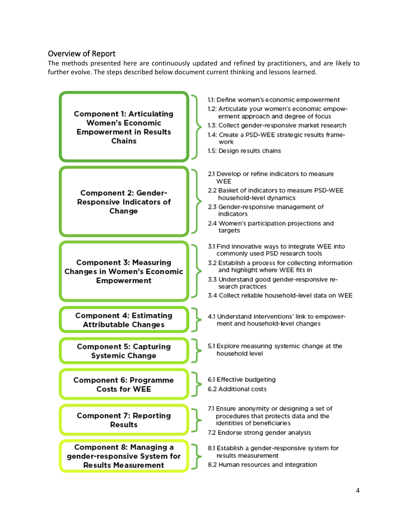## Overview of Report

The methods presented here are continuously updated and refined by practitioners, and are likely to further evolve. The steps described below document current thinking and lessons learned.

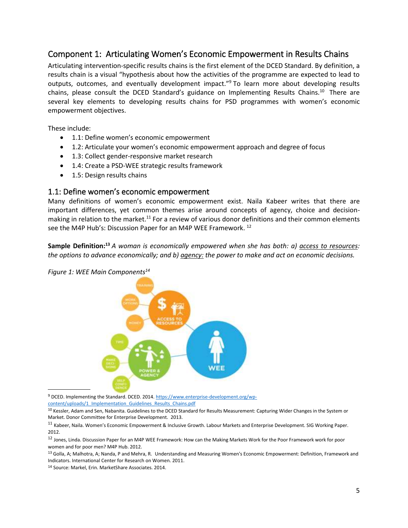## <span id="page-7-0"></span>Component 1: Articulating Women's Economic Empowerment in Results Chains

Articulating intervention-specific results chains is the first element of the DCED Standard. By definition, a results chain is a visual "hypothesis about how the activities of the programme are expected to lead to outputs, outcomes, and eventually development impact."<sup>9</sup> To learn more about developing results chains, please consult the DCED Standard's guidance on Implementing Results Chains.<sup>10</sup> There are several key elements to developing results chains for PSD programmes with women's economic empowerment objectives.

These include:

- 1.1: Define women's economic empowerment
- 1.2: Articulate your women's economic empowerment approach and degree of focus
- 1.3: Collect gender-responsive market research
- 1.4: Create a PSD-WEE strategic results framework
- 1.5: Design results chains

## <span id="page-7-1"></span>1.1: Define women's economic empowerment

Many definitions of women's economic empowerment exist. Naila Kabeer writes that there are important differences, yet common themes arise around concepts of agency, choice and decisionmaking in relation to the market.<sup>11</sup> For a review of various donor definitions and their common elements see the M4P Hub's: Discussion Paper for an M4P WEE Framework. <sup>12</sup>

Sample Definition:<sup>13</sup> A woman is economically empowered when she has both: a) access to resources: *the options to advance economically; and b) agency: the power to make and act on economic decisions.*



*Figure 1: WEE Main Components<sup>14</sup>*

<sup>9</sup> DCED. Implementing the Standard. DCED. 2014[. https://www.enterprise-development.org/wp](https://www.enterprise-development.org/wp-content/uploads/1_Implementation_Guidelines_Results_Chains.pdf)[content/uploads/1\\_Implementation\\_Guidelines\\_Results\\_Chains.pdf](https://www.enterprise-development.org/wp-content/uploads/1_Implementation_Guidelines_Results_Chains.pdf)

<sup>10</sup> Kessler, Adam and Sen, Nabanita. Guidelines to the DCED Standard for Results Measurement: Capturing Wider Changes in the System or Market. Donor Committee for Enterprise Development. 2013.

<sup>11</sup> Kabeer, Naila. Women's Economic Empowerment & Inclusive Growth. Labour Markets and Enterprise Development. SIG Working Paper. 2012.

<sup>12</sup> Jones, Linda. Discussion Paper for an M4P WEE Framework: How can the Making Markets Work for the Poor Framework work for poor women and for poor men? M4P Hub. 2012.

<sup>13</sup> Golla, A; Malhotra, A; Nanda, P and Mehra, R. Understanding and Measuring Women's Economic Empowerment: Definition, Framework and Indicators. International Center for Research on Women. 2011.

<sup>14</sup> Source: Markel, Erin. MarketShare Associates. 2014.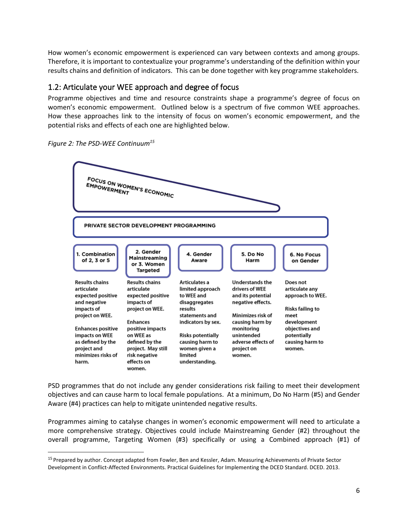How women's economic empowerment is experienced can vary between contexts and among groups. Therefore, it is important to contextualize your programme's understanding of the definition within your results chains and definition of indicators. This can be done together with key programme stakeholders.

## 1.2: Articulate your WEE approach and degree of focus

Programme objectives and time and resource constraints shape a programme's degree of focus on women's economic empowerment. Outlined below is a spectrum of five common WEE approaches. How these approaches link to the intensity of focus on women's economic empowerment, and the potential risks and effects of each one are highlighted below.



<span id="page-8-0"></span>

PSD programmes that do not include any gender considerations risk failing to meet their development objectives and can cause harm to local female populations. At a minimum, Do No Harm (#5) and Gender Aware (#4) practices can help to mitigate unintended negative results.

Programmes aiming to catalyse changes in women's economic empowerment will need to articulate a more comprehensive strategy. Objectives could include Mainstreaming Gender (#2) throughout the overall programme, Targeting Women (#3) specifically or using a Combined approach (#1) of

<sup>&</sup>lt;sup>15</sup> Prepared by author. Concept adapted from Fowler, Ben and Kessler, Adam. Measuring Achievements of Private Sector Development in Conflict-Affected Environments. Practical Guidelines for Implementing the DCED Standard. DCED. 2013.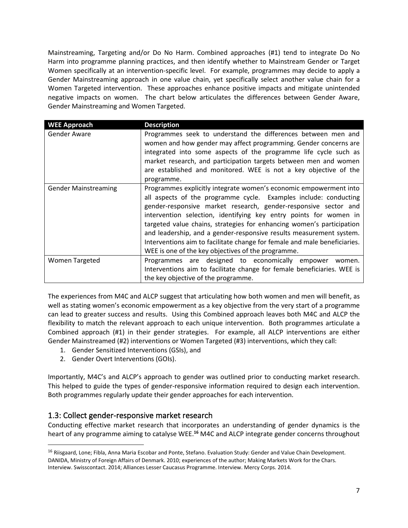Mainstreaming, Targeting and/or Do No Harm. Combined approaches (#1) tend to integrate Do No Harm into programme planning practices, and then identify whether to Mainstream Gender or Target Women specifically at an intervention-specific level. For example, programmes may decide to apply a Gender Mainstreaming approach in one value chain, yet specifically select another value chain for a Women Targeted intervention. These approaches enhance positive impacts and mitigate unintended negative impacts on women. The chart below articulates the differences between Gender Aware, Gender Mainstreaming and Women Targeted.

| <b>WEE Approach</b>         | <b>Description</b>                                                                                                                                                                                                                                                                                                                                                                                                                                                                                                                                               |
|-----------------------------|------------------------------------------------------------------------------------------------------------------------------------------------------------------------------------------------------------------------------------------------------------------------------------------------------------------------------------------------------------------------------------------------------------------------------------------------------------------------------------------------------------------------------------------------------------------|
| Gender Aware                | Programmes seek to understand the differences between men and<br>women and how gender may affect programming. Gender concerns are<br>integrated into some aspects of the programme life cycle such as<br>market research, and participation targets between men and women<br>are established and monitored. WEE is not a key objective of the<br>programme.                                                                                                                                                                                                      |
| <b>Gender Mainstreaming</b> | Programmes explicitly integrate women's economic empowerment into<br>all aspects of the programme cycle. Examples include: conducting<br>gender-responsive market research, gender-responsive sector and<br>intervention selection, identifying key entry points for women in<br>targeted value chains, strategies for enhancing women's participation<br>and leadership, and a gender-responsive results measurement system.<br>Interventions aim to facilitate change for female and male beneficiaries.<br>WEE is one of the key objectives of the programme. |
| <b>Women Targeted</b>       | Programmes are designed to economically empower<br>women.<br>Interventions aim to facilitate change for female beneficiaries. WEE is<br>the key objective of the programme.                                                                                                                                                                                                                                                                                                                                                                                      |

The experiences from M4C and ALCP suggest that articulating how both women and men will benefit, as well as stating women's economic empowerment as a key objective from the very start of a programme can lead to greater success and results. Using this Combined approach leaves both M4C and ALCP the flexibility to match the relevant approach to each unique intervention. Both programmes articulate a Combined approach (#1) in their gender strategies. For example, all ALCP interventions are either Gender Mainstreamed (#2) interventions or Women Targeted (#3) interventions, which they call:

- 1. Gender Sensitized Interventions (GSIs), and
- 2. Gender Overt Interventions (GOIs).

Importantly, M4C's and ALCP's approach to gender was outlined prior to conducting market research. This helped to guide the types of gender-responsive information required to design each intervention. Both programmes regularly update their gender approaches for each intervention.

## <span id="page-9-0"></span>1.3: Collect gender-responsive market research

Conducting effective market research that incorporates an understanding of gender dynamics is the heart of any programme aiming to catalyse WEE.**<sup>16</sup>** M4C and ALCP integrate gender concerns throughout

<sup>&</sup>lt;sup>16</sup> Riisgaard, Lone; Fibla, Anna Maria Escobar and Ponte, Stefano. Evaluation Study: Gender and Value Chain Development. DANIDA, Ministry of Foreign Affairs of Denmark. 2010; experiences of the author; Making Markets Work for the Chars. Interview. Swisscontact. 2014; Alliances Lesser Caucasus Programme. Interview. Mercy Corps. 2014.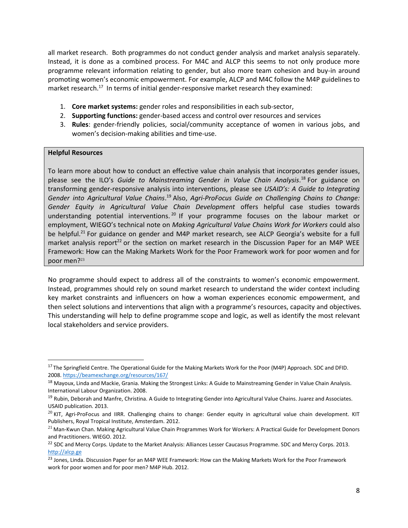all market research. Both programmes do not conduct gender analysis and market analysis separately. Instead, it is done as a combined process. For M4C and ALCP this seems to not only produce more programme relevant information relating to gender, but also more team cohesion and buy-in around promoting women's economic empowerment. For example, ALCP and M4C follow the M4P guidelines to market research.<sup>17</sup> In terms of initial gender-responsive market research they examined:

- 1. **Core market systems:** gender roles and responsibilities in each sub-sector,
- 2. **Supporting functions:** gender-based access and control over resources and services
- 3. **Rules**: gender-friendly policies, social/community acceptance of women in various jobs, and women's decision-making abilities and time-use.

#### **Helpful Resources**

To learn more about how to conduct an effective value chain analysis that incorporates gender issues, please see the ILO's *Guide to Mainstreaming Gender in Value Chain Analysis*. <sup>18</sup> For guidance on transforming gender-responsive analysis into interventions, please see *USAID's: A Guide to Integrating*  Gender into Agricultural Value Chains.<sup>19</sup> Also, Agri-ProFocus Guide on Challenging Chains to Change: *Gender Equity in Agricultural Value Chain Development* offers helpful case studies towards understanding potential interventions.<sup>20</sup> If your programme focuses on the labour market or employment, WIEGO's technical note on *Making Agricultural Value Chains Work for Workers* could also be helpful.<sup>21</sup> For guidance on gender and M4P market research, see ALCP Georgia's website for a full market analysis report<sup>22</sup> or the section on market research in the Discussion Paper for an M4P WEE Framework: How can the Making Markets Work for the Poor Framework work for poor women and for poor men?<sup>23</sup>

No programme should expect to address all of the constraints to women's economic empowerment. Instead, programmes should rely on sound market research to understand the wider context including key market constraints and influencers on how a woman experiences economic empowerment, and then select solutions and interventions that align with a programme's resources, capacity and objectives. This understanding will help to define programme scope and logic, as well as identify the most relevant local stakeholders and service providers.

<span id="page-10-0"></span><sup>&</sup>lt;sup>17</sup> The Springfield Centre. The Operational Guide for the Making Markets Work for the Poor (M4P) Approach. SDC and DFID. 2008[. https://beamexchange.org/resources/167/](https://beamexchange.org/resources/167/)

<sup>&</sup>lt;sup>18</sup> Mayoux, Linda and Mackie, Grania. Making the Strongest Links: A Guide to Mainstreaming Gender in Value Chain Analysis. International Labour Organization. 2008.

<sup>&</sup>lt;sup>19</sup> Rubin, Deborah and Manfre, Christina. A Guide to Integrating Gender into Agricultural Value Chains. Juarez and Associates. USAID publication. 2013.

 $^{20}$  KIT, Agri-ProFocus and IIRR. Challenging chains to change: Gender equity in agricultural value chain development. KIT Publishers, Royal Tropical Institute, Amsterdam. 2012.

 $21$  Man-Kwun Chan. Making Agricultural Value Chain Programmes Work for Workers: A Practical Guide for Development Donors and Practitioners. WIEGO. 2012.

<sup>&</sup>lt;sup>22</sup> SDC and Mercy Corps. Update to the Market Analysis: Alliances Lesser Caucasus Programme. SDC and Mercy Corps. 2013. [http://alcp.ge](http://alcp.ge/)

<sup>&</sup>lt;sup>23</sup> Jones, Linda. Discussion Paper for an M4P WEE Framework: How can the Making Markets Work for the Poor Framework work for poor women and for poor men? M4P Hub. 2012.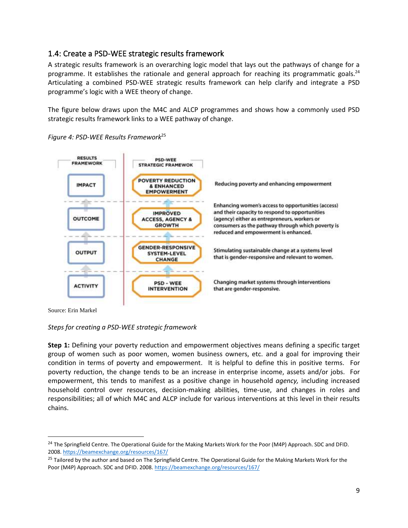## 1.4: Create a PSD-WEE strategic results framework

A strategic results framework is an overarching logic model that lays out the pathways of change for a programme. It establishes the rationale and general approach for reaching its programmatic goals.<sup>24</sup> Articulating a combined PSD-WEE strategic results framework can help clarify and integrate a PSD programme's logic with a WEE theory of change.

The figure below draws upon the M4C and ALCP programmes and shows how a commonly used PSD strategic results framework links to a WEE pathway of change.



*Figure 4: PSD-WEE Results Framework*<sup>25</sup>

Source: Erin Markel

#### *Steps for creating a PSD-WEE strategic framework*

**Step 1:** Defining your poverty reduction and empowerment objectives means defining a specific target group of women such as poor women, women business owners, etc. and a goal for improving their condition in terms of poverty and empowerment. It is helpful to define this in positive terms. For poverty reduction, the change tends to be an increase in enterprise income, assets and/or jobs. For empowerment, this tends to manifest as a positive change in household *agency,* including increased household control over resources, decision-making abilities, time-use, and changes in roles and responsibilities; all of which M4C and ALCP include for various interventions at this level in their results chains.

<sup>&</sup>lt;sup>24</sup> The Springfield Centre. The Operational Guide for the Making Markets Work for the Poor (M4P) Approach. SDC and DFID. 2008[. https://beamexchange.org/resources/167/](https://beamexchange.org/resources/167/)

<sup>&</sup>lt;sup>25</sup> Tailored by the author and based on The Springfield Centre. The Operational Guide for the Making Markets Work for the Poor (M4P) Approach. SDC and DFID. 2008.<https://beamexchange.org/resources/167/>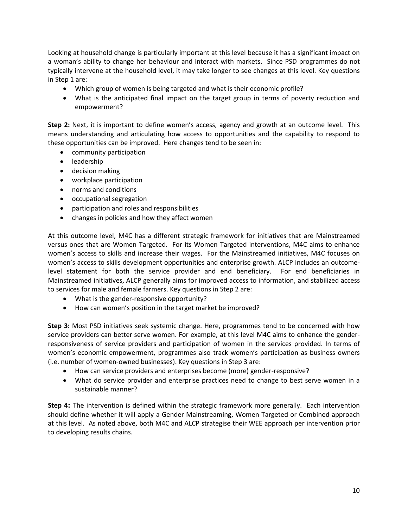Looking at household change is particularly important at this level because it has a significant impact on a woman's ability to change her behaviour and interact with markets. Since PSD programmes do not typically intervene at the household level, it may take longer to see changes at this level. Key questions in Step 1 are:

- Which group of women is being targeted and what is their economic profile?
- What is the anticipated final impact on the target group in terms of poverty reduction and empowerment?

**Step 2:** Next, it is important to define women's access, agency and growth at an outcome level. This means understanding and articulating how access to opportunities and the capability to respond to these opportunities can be improved. Here changes tend to be seen in:

- community participation
- leadership
- decision making
- workplace participation
- norms and conditions
- occupational segregation
- participation and roles and responsibilities
- changes in policies and how they affect women

At this outcome level, M4C has a different strategic framework for initiatives that are Mainstreamed versus ones that are Women Targeted. For its Women Targeted interventions, M4C aims to enhance women's access to skills and increase their wages. For the Mainstreamed initiatives, M4C focuses on women's access to skills development opportunities and enterprise growth. ALCP includes an outcomelevel statement for both the service provider and end beneficiary. For end beneficiaries in Mainstreamed initiatives, ALCP generally aims for improved access to information, and stabilized access to services for male and female farmers. Key questions in Step 2 are:

- What is the gender-responsive opportunity?
- How can women's position in the target market be improved?

**Step 3:** Most PSD initiatives seek systemic change. Here, programmes tend to be concerned with how service providers can better serve women. For example, at this level M4C aims to enhance the genderresponsiveness of service providers and participation of women in the services provided. In terms of women's economic empowerment, programmes also track women's participation as business owners (i.e. number of women-owned businesses). Key questions in Step 3 are:

- How can service providers and enterprises become (more) gender-responsive?
- What do service provider and enterprise practices need to change to best serve women in a sustainable manner?

<span id="page-12-0"></span>**Step 4:** The intervention is defined within the strategic framework more generally. Each intervention should define whether it will apply a Gender Mainstreaming, Women Targeted or Combined approach at this level. As noted above, both M4C and ALCP strategise their WEE approach per intervention prior to developing results chains.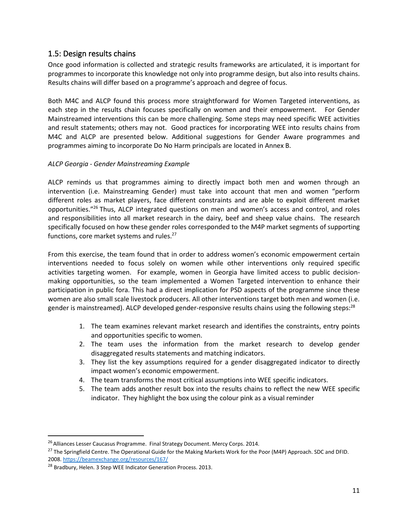## 1.5: Design results chains

Once good information is collected and strategic results frameworks are articulated, it is important for programmes to incorporate this knowledge not only into programme design, but also into results chains. Results chains will differ based on a programme's approach and degree of focus.

Both M4C and ALCP found this process more straightforward for Women Targeted interventions, as each step in the results chain focuses specifically on women and their empowerment. For Gender Mainstreamed interventions this can be more challenging. Some steps may need specific WEE activities and result statements; others may not. Good practices for incorporating WEE into results chains from M4C and ALCP are presented below. Additional suggestions for Gender Aware programmes and programmes aiming to incorporate Do No Harm principals are located in Annex B.

## *ALCP Georgia - Gender Mainstreaming Example*

ALCP reminds us that programmes aiming to directly impact both men and women through an intervention (i.e. Mainstreaming Gender) must take into account that men and women "perform different roles as market players, face different constraints and are able to exploit different market opportunities."<sup>26</sup> Thus, ALCP integrated questions on men and women's access and control, and roles and responsibilities into all market research in the dairy, beef and sheep value chains. The research specifically focused on how these gender roles corresponded to the M4P market segments of supporting functions, core market systems and rules. 27

From this exercise, the team found that in order to address women's economic empowerment certain interventions needed to focus solely on women while other interventions only required specific activities targeting women. For example, women in Georgia have limited access to public decisionmaking opportunities, so the team implemented a Women Targeted intervention to enhance their participation in public fora. This had a direct implication for PSD aspects of the programme since these women are also small scale livestock producers. All other interventions target both men and women (i.e. gender is mainstreamed). ALCP developed gender-responsive results chains using the following steps:<sup>28</sup>

- 1. The team examines relevant market research and identifies the constraints, entry points and opportunities specific to women.
- 2. The team uses the information from the market research to develop gender disaggregated results statements and matching indicators.
- 3. They list the key assumptions required for a gender disaggregated indicator to directly impact women's economic empowerment.
- 4. The team transforms the most critical assumptions into WEE specific indicators.
- 5. The team adds another result box into the results chains to reflect the new WEE specific indicator. They highlight the box using the colour pink as a visual reminder

<sup>&</sup>lt;sup>26</sup> Alliances Lesser Caucasus Programme. Final Strategy Document. Mercy Corps. 2014.

<sup>&</sup>lt;sup>27</sup> The Springfield Centre. The Operational Guide for the Making Markets Work for the Poor (M4P) Approach. SDC and DFID. 2008[. https://beamexchange.org/resources/167/](https://beamexchange.org/resources/167/)

<sup>&</sup>lt;sup>28</sup> Bradbury, Helen. 3 Step WEE Indicator Generation Process. 2013.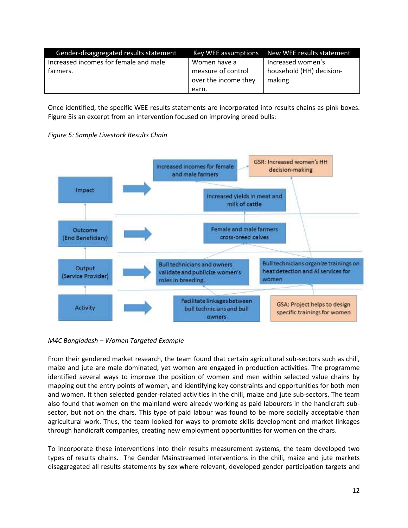| Gender-disaggregated results statement | Key WEE assumptions  | New WEE results statement |
|----------------------------------------|----------------------|---------------------------|
| Increased incomes for female and male  | Women have a         | Increased women's         |
| farmers.                               | measure of control   | household (HH) decision-  |
|                                        | over the income they | making.                   |
|                                        | earn.                |                           |

Once identified, the specific WEE results statements are incorporated into results chains as pink boxes. Figure 5is an excerpt from an intervention focused on improving breed bulls:



*Figure 5: Sample Livestock Results Chain*

*M4C Bangladesh – Women Targeted Example*

From their gendered market research, the team found that certain agricultural sub-sectors such as chili, maize and jute are male dominated, yet women are engaged in production activities. The programme identified several ways to improve the position of women and men within selected value chains by mapping out the entry points of women, and identifying key constraints and opportunities for both men and women. It then selected gender-related activities in the chili, maize and jute sub-sectors. The team also found that women on the mainland were already working as paid labourers in the handicraft subsector, but not on the chars. This type of paid labour was found to be more socially acceptable than agricultural work. Thus, the team looked for ways to promote skills development and market linkages through handicraft companies, creating new employment opportunities for women on the chars.

To incorporate these interventions into their results measurement systems, the team developed two types of results chains. The Gender Mainstreamed interventions in the chili, maize and jute markets disaggregated all results statements by sex where relevant, developed gender participation targets and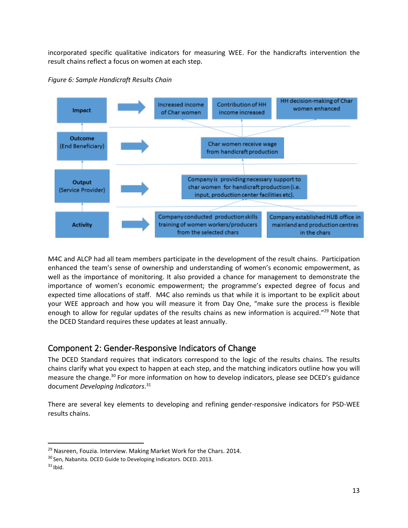incorporated specific qualitative indicators for measuring WEE. For the handicrafts intervention the result chains reflect a focus on women at each step.



*Figure 6: Sample Handicraft Results Chain*

M4C and ALCP had all team members participate in the development of the result chains. Participation enhanced the team's sense of ownership and understanding of women's economic empowerment, as well as the importance of monitoring. It also provided a chance for management to demonstrate the importance of women's economic empowerment; the programme's expected degree of focus and expected time allocations of staff. M4C also reminds us that while it is important to be explicit about your WEE approach and how you will measure it from Day One, "make sure the process is flexible enough to allow for regular updates of the results chains as new information is acquired."<sup>29</sup> Note that the DCED Standard requires these updates at least annually.

## <span id="page-15-0"></span>Component 2: Gender-Responsive Indicators of Change

The DCED Standard requires that indicators correspond to the logic of the results chains. The results chains clarify what you expect to happen at each step, and the matching indicators outline how you will measure the change.<sup>30</sup> For more information on how to develop indicators, please see DCED's guidance document *Developing Indicators*. 31

There are several key elements to developing and refining gender-responsive indicators for PSD-WEE results chains.

<sup>&</sup>lt;sup>29</sup> Nasreen, Fouzia. Interview. Making Market Work for the Chars. 2014.

<sup>30</sup> Sen, Nabanita. DCED Guide to Developing Indicators. DCED. 2013.

 $31$  Ibid.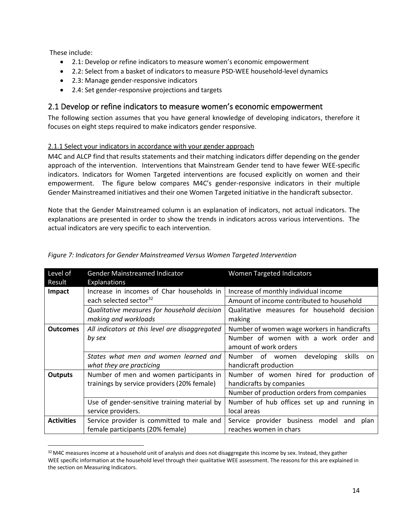These include:

- 2.1: Develop or refine indicators to measure women's economic empowerment
- 2.2: Select from a basket of indicators to measure PSD-WEE household-level dynamics
- 2.3: Manage gender-responsive indicators
- 2.4: Set gender-responsive projections and targets

## <span id="page-16-0"></span>2.1 Develop or refine indicators to measure women's economic empowerment

The following section assumes that you have general knowledge of developing indicators, therefore it focuses on eight steps required to make indicators gender responsive.

## 2.1.1 Select your indicators in accordance with your gender approach

M4C and ALCP find that results statements and their matching indicators differ depending on the gender approach of the intervention. Interventions that Mainstream Gender tend to have fewer WEE-specific indicators. Indicators for Women Targeted interventions are focused explicitly on women and their empowerment. The figure below compares M4C's gender-responsive indicators in their multiple Gender Mainstreamed initiatives and their one Women Targeted initiative in the handicraft subsector.

Note that the Gender Mainstreamed column is an explanation of indicators, not actual indicators. The explanations are presented in order to show the trends in indicators across various interventions. The actual indicators are very specific to each intervention.

| Level of<br>Result | <b>Gender Mainstreamed Indicator</b><br><b>Explanations</b> | <b>Women Targeted Indicators</b>                  |
|--------------------|-------------------------------------------------------------|---------------------------------------------------|
| Impact             | Increase in incomes of Char households in                   | Increase of monthly individual income             |
|                    | each selected sector <sup>32</sup>                          | Amount of income contributed to household         |
|                    | Qualitative measures for household decision                 | Qualitative measures for household decision       |
|                    | making and workloads                                        | making                                            |
| <b>Outcomes</b>    | All indicators at this level are disaggregated              | Number of women wage workers in handicrafts       |
|                    | by sex                                                      | Number of women with a work order and             |
|                    |                                                             | amount of work orders                             |
|                    | States what men and women learned and                       | developing<br>Number<br>of women<br>skills<br>on. |
|                    | what they are practicing                                    | handicraft production                             |
| <b>Outputs</b>     | Number of men and women participants in                     | Number of women hired for production of           |
|                    | trainings by service providers (20% female)                 | handicrafts by companies                          |
|                    |                                                             | Number of production orders from companies        |
|                    | Use of gender-sensitive training material by                | Number of hub offices set up and running in       |
|                    | service providers.                                          | local areas                                       |
| <b>Activities</b>  | Service provider is committed to male and                   | Service provider business model<br>and<br>plan    |
|                    | female participants (20% female)                            | reaches women in chars                            |

## *Figure 7: Indicators for Gender Mainstreamed Versus Women Targeted Intervention*

<sup>32</sup> M4C measures income at a household unit of analysis and does not disaggregate this income by sex. Instead, they gather WEE specific information at the household level through their qualitative WEE assessment. The reasons for this are explained in the section on Measuring Indicators.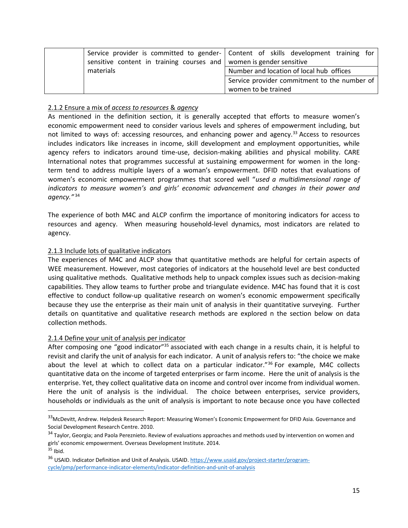|                                                                       | Service provider is committed to gender-   Content of skills development training for |
|-----------------------------------------------------------------------|---------------------------------------------------------------------------------------|
| sensitive content in training courses and   women is gender sensitive |                                                                                       |
| materials                                                             | Number and location of local hub offices                                              |
|                                                                       | Service provider commitment to the number of                                          |
|                                                                       | women to be trained                                                                   |

#### 2.1.2 Ensure a mix of *access to resources* & *agency*

As mentioned in the definition section, it is generally accepted that efforts to measure women's economic empowerment need to consider various levels and spheres of empowerment including, but not limited to ways of: accessing resources, and enhancing power and agency.<sup>33</sup> Access to resources includes indicators like increases in income, skill development and employment opportunities, while agency refers to indicators around time-use, decision-making abilities and physical mobility. CARE International notes that programmes successful at sustaining empowerment for women in the longterm tend to address multiple layers of a woman's empowerment. DFID notes that evaluations of women's economic empowerment programmes that scored well "*used a multidimensional range of indicators to measure women's and girls' economic advancement and changes in their power and agency."* <sup>34</sup>

The experience of both M4C and ALCP confirm the importance of monitoring indicators for access to resources and agency. When measuring household-level dynamics, most indicators are related to agency.

#### 2.1.3 Include lots of qualitative indicators

The experiences of M4C and ALCP show that quantitative methods are helpful for certain aspects of WEE measurement. However, most categories of indicators at the household level are best conducted using qualitative methods. Qualitative methods help to unpack complex issues such as decision-making capabilities. They allow teams to further probe and triangulate evidence. M4C has found that it is cost effective to conduct follow-up qualitative research on women's economic empowerment specifically because they use the enterprise as their main unit of analysis in their quantitative surveying. Further details on quantitative and qualitative research methods are explored n the section below on data collection methods.

#### 2.1.4 Define your unit of analysis per indicator

After composing one "good indicator"<sup>35</sup> associated with each change in a results chain, it is helpful to revisit and clarify the unit of analysis for each indicator. A unit of analysis refers to: "the choice we make about the level at which to collect data on a particular indicator."<sup>36</sup> For example, M4C collects quantitative data on the income of targeted enterprises or farm income. Here the unit of analysis is the enterprise. Yet, they collect qualitative data on income and control over income from individual women. Here the unit of analysis is the individual. The choice between enterprises, service providers, households or individuals as the unit of analysis is important to note because once you have collected

<sup>33</sup>McDevitt, Andrew. Helpdesk Research Report: Measuring Women's Economic Empowerment for DFID Asia. Governance and Social Development Research Centre. 2010.

<sup>&</sup>lt;sup>34</sup> Taylor, Georgia; and Paola Pereznieto. Review of evaluations approaches and methods used by intervention on women and girls' economic empowerment. Overseas Development Institute. 2014.  $35$  Ibid.

<sup>&</sup>lt;sup>36</sup> USAID. Indicator Definition and Unit of Analysis. USAID. [https://www.usaid.gov/project-starter/program](https://www.usaid.gov/project-starter/program-cycle/pmp/performance-indicator-elements/indicator-definition-and-unit-of-analysis)[cycle/pmp/performance-indicator-elements/indicator-definition-and-unit-of-analysis](https://www.usaid.gov/project-starter/program-cycle/pmp/performance-indicator-elements/indicator-definition-and-unit-of-analysis)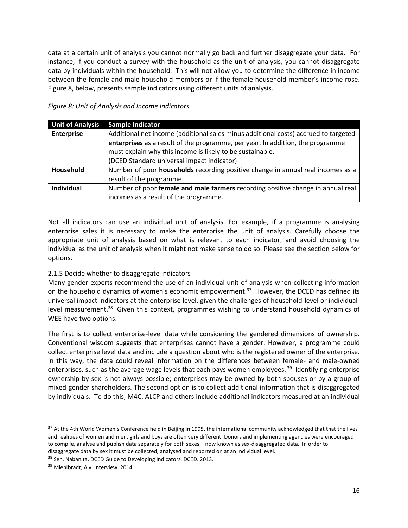data at a certain unit of analysis you cannot normally go back and further disaggregate your data. For instance, if you conduct a survey with the household as the unit of analysis, you cannot disaggregate data by individuals within the household. This will not allow you to determine the difference in income between the female and male household members or if the female household member's income rose. Figure 8, below, presents sample indicators using different units of analysis.

#### *Figure 8: Unit of Analysis and Income Indicators*

| <b>Unit of Analysis</b> | <b>Sample Indicator</b>                                                             |
|-------------------------|-------------------------------------------------------------------------------------|
| <b>Enterprise</b>       | Additional net income (additional sales minus additional costs) accrued to targeted |
|                         | enterprises as a result of the programme, per year. In addition, the programme      |
|                         | must explain why this income is likely to be sustainable.                           |
|                         | (DCED Standard universal impact indicator)                                          |
| Household               | Number of poor households recording positive change in annual real incomes as a     |
|                         | result of the programme.                                                            |
| <b>Individual</b>       | Number of poor female and male farmers recording positive change in annual real     |
|                         | incomes as a result of the programme.                                               |

Not all indicators can use an individual unit of analysis. For example, if a programme is analysing enterprise sales it is necessary to make the enterprise the unit of analysis. Carefully choose the appropriate unit of analysis based on what is relevant to each indicator, and avoid choosing the individual as the unit of analysis when it might not make sense to do so. Please see the section below for options.

## 2.1.5 Decide whether to disaggregate indicators

Many gender experts recommend the use of an individual unit of analysis when collecting information on the household dynamics of women's economic empowerment.<sup>37</sup> However, the DCED has defined its universal impact indicators at the enterprise level, given the challenges of household-level or individuallevel measurement.<sup>38</sup> Given this context, programmes wishing to understand household dynamics of WEE have two options.

The first is to collect enterprise-level data while considering the gendered dimensions of ownership. Conventional wisdom suggests that enterprises cannot have a gender. However, a programme could collect enterprise level data and include a question about who is the registered owner of the enterprise. In this way, the data could reveal information on the differences between female- and male-owned enterprises, such as the average wage levels that each pays women employees.<sup>39</sup> Identifying enterprise ownership by sex is not always possible; enterprises may be owned by both spouses or by a group of mixed-gender shareholders. The second option is to collect additional information that is disaggregated by individuals. To do this, M4C, ALCP and others include additional indicators measured at an individual

<sup>&</sup>lt;sup>37</sup> At the 4th World Women's Conference held in Beijing in 1995, the international community acknowledged that that the lives and realities of women and men, girls and boys are often very different. Donors and implementing agencies were encouraged to compile, analyse and publish data separately for both sexes – now known as sex-disaggregated data. In order to disaggregate data by sex it must be collected, analysed and reported on at an individual level.

<sup>38</sup> Sen, Nabanita. DCED Guide to Developing Indicators. DCED. 2013.

<sup>&</sup>lt;sup>39</sup> Miehlbradt, Aly. Interview. 2014.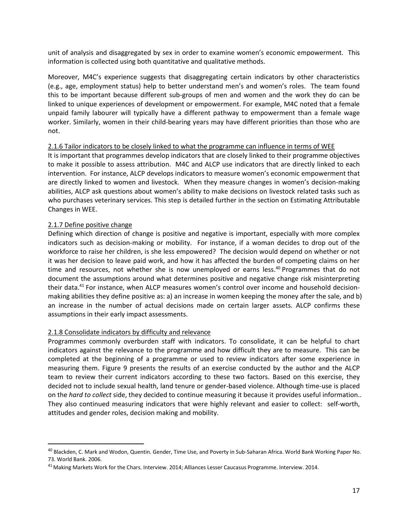unit of analysis and disaggregated by sex in order to examine women's economic empowerment. This information is collected using both quantitative and qualitative methods.

Moreover, M4C's experience suggests that disaggregating certain indicators by other characteristics (e.g., age, employment status) help to better understand men's and women's roles. The team found this to be important because different sub-groups of men and women and the work they do can be linked to unique experiences of development or empowerment. For example, M4C noted that a female unpaid family labourer will typically have a different pathway to empowerment than a female wage worker. Similarly, women in their child-bearing years may have different priorities than those who are not.

#### 2.1.6 Tailor indicators to be closely linked to what the programme can influence in terms of WEE

It is important that programmes develop indicators that are closely linked to their programme objectives to make it possible to assess attribution. M4C and ALCP use indicators that are directly linked to each intervention. For instance, ALCP develops indicators to measure women's economic empowerment that are directly linked to women and livestock. When they measure changes in women's decision-making abilities, ALCP ask questions about women's ability to make decisions on livestock related tasks such as who purchases veterinary services. This step is detailed further in the section on Estimating Attributable Changes in WEE.

#### 2.1.7 Define positive change

Defining which direction of change is positive and negative is important, especially with more complex indicators such as decision-making or mobility. For instance, if a woman decides to drop out of the workforce to raise her children, is she less empowered? The decision would depend on whether or not it was her decision to leave paid work, and how it has affected the burden of competing claims on her time and resources, not whether she is now unemployed or earns less.<sup>40</sup> Programmes that do not document the assumptions around what determines positive and negative change risk misinterpreting their data.<sup>41</sup> For instance, when ALCP measures women's control over income and household decisionmaking abilities they define positive as: a) an increase in women keeping the money after the sale, and b) an increase in the number of actual decisions made on certain larger assets. ALCP confirms these assumptions in their early impact assessments.

#### 2.1.8 Consolidate indicators by difficulty and relevance

Programmes commonly overburden staff with indicators. To consolidate, it can be helpful to chart indicators against the relevance to the programme and how difficult they are to measure. This can be completed at the beginning of a programme or used to review indicators after some experience in measuring them. Figure 9 presents the results of an exercise conducted by the author and the ALCP team to review their current indicators according to these two factors. Based on this exercise, they decided not to include sexual health, land tenure or gender-based violence. Although time-use is placed on the *hard to collect* side, they decided to continue measuring it because it provides useful information.. They also continued measuring indicators that were highly relevant and easier to collect: self-worth, attitudes and gender roles, decision making and mobility.

<sup>40</sup> Blackden, C. Mark and Wodon, Quentin. Gender, Time Use, and Poverty in Sub-Saharan Africa. World Bank Working Paper No. 73. World Bank. 2006.

<sup>41</sup> Making Markets Work for the Chars. Interview. 2014; Alliances Lesser Caucasus Programme. Interview. 2014.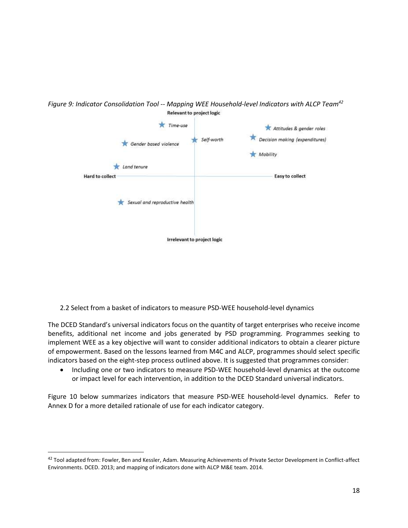<span id="page-20-0"></span>

*Figure 9: Indicator Consolidation Tool -- Mapping WEE Household-level Indicators with ALCP Team<sup>42</sup>* **Relevant to project logic** 

2.2 Select from a basket of indicators to measure PSD-WEE household-level dynamics

The DCED Standard's universal indicators focus on the quantity of target enterprises who receive income benefits, additional net income and jobs generated by PSD programming. Programmes seeking to implement WEE as a key objective will want to consider additional indicators to obtain a clearer picture of empowerment. Based on the lessons learned from M4C and ALCP, programmes should select specific indicators based on the eight-step process outlined above. It is suggested that programmes consider:

• Including one or two indicators to measure PSD-WEE household-level dynamics at the outcome or impact level for each intervention, in addition to the DCED Standard universal indicators.

Figure 10 below summarizes indicators that measure PSD-WEE household-level dynamics. Refer to Annex D for a more detailed rationale of use for each indicator category.

<sup>42</sup> Tool adapted from: Fowler, Ben and Kessler, Adam. Measuring Achievements of Private Sector Development in Conflict-affect Environments. DCED. 2013; and mapping of indicators done with ALCP M&E team. 2014.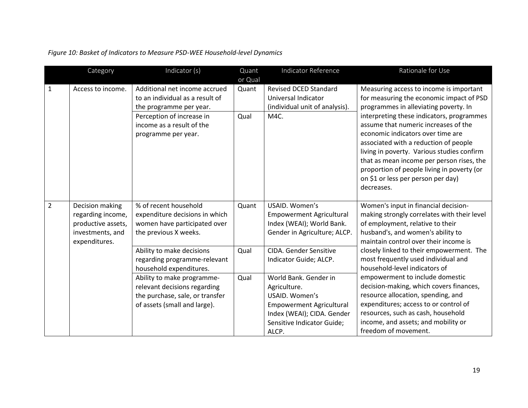|                | Category                                                                                        | Indicator (s)                                                                                                                                                                                            | Quant<br>or Qual | Indicator Reference                                                                                                                                                | Rationale for Use                                                                                                                                                                                                                                                                                                                                                                                                                                                                            |
|----------------|-------------------------------------------------------------------------------------------------|----------------------------------------------------------------------------------------------------------------------------------------------------------------------------------------------------------|------------------|--------------------------------------------------------------------------------------------------------------------------------------------------------------------|----------------------------------------------------------------------------------------------------------------------------------------------------------------------------------------------------------------------------------------------------------------------------------------------------------------------------------------------------------------------------------------------------------------------------------------------------------------------------------------------|
| $\mathbf{1}$   | Access to income.                                                                               | Additional net income accrued<br>to an individual as a result of<br>the programme per year.<br>Perception of increase in<br>income as a result of the<br>programme per year.                             | Quant<br>Qual    | <b>Revised DCED Standard</b><br>Universal Indicator<br>(individual unit of analysis).<br>M4C.                                                                      | Measuring access to income is important<br>for measuring the economic impact of PSD<br>programmes in alleviating poverty. In<br>interpreting these indicators, programmes<br>assume that numeric increases of the<br>economic indicators over time are<br>associated with a reduction of people<br>living in poverty. Various studies confirm<br>that as mean income per person rises, the<br>proportion of people living in poverty (or<br>on \$1 or less per person per day)<br>decreases. |
| $\overline{2}$ | Decision making<br>regarding income,<br>productive assets,<br>investments, and<br>expenditures. | % of recent household<br>expenditure decisions in which<br>women have participated over<br>the previous X weeks.<br>Ability to make decisions<br>regarding programme-relevant<br>household expenditures. | Quant<br>Qual    | USAID. Women's<br><b>Empowerment Agricultural</b><br>Index (WEAI); World Bank.<br>Gender in Agriculture; ALCP.<br>CIDA. Gender Sensitive<br>Indicator Guide; ALCP. | Women's input in financial decision-<br>making strongly correlates with their level<br>of employment, relative to their<br>husband's, and women's ability to<br>maintain control over their income is<br>closely linked to their empowerment. The<br>most frequently used individual and<br>household-level indicators of                                                                                                                                                                    |
|                |                                                                                                 | Ability to make programme-<br>relevant decisions regarding<br>the purchase, sale, or transfer<br>of assets (small and large).                                                                            | Qual             | World Bank. Gender in<br>Agriculture.<br>USAID. Women's<br><b>Empowerment Agricultural</b><br>Index (WEAI); CIDA. Gender<br>Sensitive Indicator Guide;<br>ALCP.    | empowerment to include domestic<br>decision-making, which covers finances,<br>resource allocation, spending, and<br>expenditures; access to or control of<br>resources, such as cash, household<br>income, and assets; and mobility or<br>freedom of movement.                                                                                                                                                                                                                               |

*Figure 10: Basket of Indicators to Measure PSD-WEE Household-level Dynamics*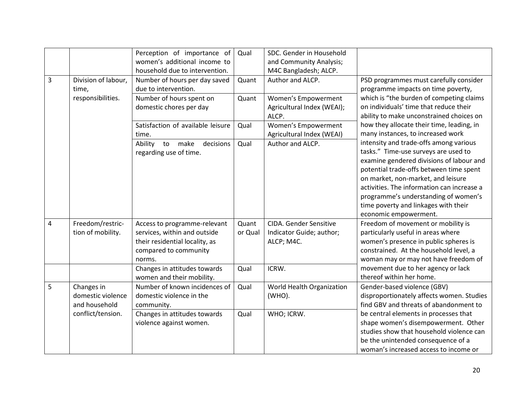|                |                                                   | Perception of importance of<br>women's additional income to<br>household due to intervention.                                     | Qual             | SDC. Gender in Household<br>and Community Analysis;<br>M4C Bangladesh; ALCP. |                                                                                                                                                                                                                                                                                                                                                                    |
|----------------|---------------------------------------------------|-----------------------------------------------------------------------------------------------------------------------------------|------------------|------------------------------------------------------------------------------|--------------------------------------------------------------------------------------------------------------------------------------------------------------------------------------------------------------------------------------------------------------------------------------------------------------------------------------------------------------------|
| 3              | Division of labour,<br>time,<br>responsibilities. | Number of hours per day saved<br>due to intervention.<br>Number of hours spent on<br>domestic chores per day                      | Quant<br>Quant   | Author and ALCP.<br>Women's Empowerment<br>Agricultural Index (WEAI);        | PSD programmes must carefully consider<br>programme impacts on time poverty,<br>which is "the burden of competing claims<br>on individuals' time that reduce their                                                                                                                                                                                                 |
|                |                                                   | Satisfaction of available leisure<br>time.                                                                                        | Qual             | ALCP.<br>Women's Empowerment<br>Agricultural Index (WEAI)                    | ability to make unconstrained choices on<br>how they allocate their time, leading, in<br>many instances, to increased work                                                                                                                                                                                                                                         |
|                |                                                   | Ability to make<br>decisions<br>regarding use of time.                                                                            | Qual             | Author and ALCP.                                                             | intensity and trade-offs among various<br>tasks." Time-use surveys are used to<br>examine gendered divisions of labour and<br>potential trade-offs between time spent<br>on market, non-market, and leisure<br>activities. The information can increase a<br>programme's understanding of women's<br>time poverty and linkages with their<br>economic empowerment. |
| $\overline{4}$ | Freedom/restric-<br>tion of mobility.             | Access to programme-relevant<br>services, within and outside<br>their residential locality, as<br>compared to community<br>norms. | Quant<br>or Qual | CIDA. Gender Sensitive<br>Indicator Guide; author;<br>ALCP; M4C.             | Freedom of movement or mobility is<br>particularly useful in areas where<br>women's presence in public spheres is<br>constrained. At the household level, a<br>woman may or may not have freedom of                                                                                                                                                                |
|                |                                                   | Changes in attitudes towards<br>women and their mobility.                                                                         | Qual             | ICRW.                                                                        | movement due to her agency or lack<br>thereof within her home.                                                                                                                                                                                                                                                                                                     |
| 5              | Changes in<br>domestic violence<br>and household  | Number of known incidences of<br>domestic violence in the<br>community.                                                           | Qual             | World Health Organization<br>(WHO).                                          | Gender-based violence (GBV)<br>disproportionately affects women. Studies<br>find GBV and threats of abandonment to                                                                                                                                                                                                                                                 |
|                | conflict/tension.                                 | Changes in attitudes towards<br>violence against women.                                                                           | Qual             | WHO; ICRW.                                                                   | be central elements in processes that<br>shape women's disempowerment. Other<br>studies show that household violence can<br>be the unintended consequence of a<br>woman's increased access to income or                                                                                                                                                            |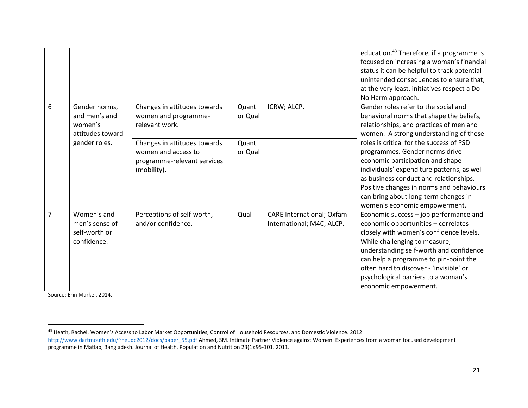|                |                                                               |                                                                                                   |                  |                                                               | education. <sup>43</sup> Therefore, if a programme is<br>focused on increasing a woman's financial<br>status it can be helpful to track potential<br>unintended consequences to ensure that,<br>at the very least, initiatives respect a Do<br>No Harm approach.                                                                                         |
|----------------|---------------------------------------------------------------|---------------------------------------------------------------------------------------------------|------------------|---------------------------------------------------------------|----------------------------------------------------------------------------------------------------------------------------------------------------------------------------------------------------------------------------------------------------------------------------------------------------------------------------------------------------------|
| 6              | Gender norms,<br>and men's and<br>women's<br>attitudes toward | Changes in attitudes towards<br>women and programme-<br>relevant work.                            | Quant<br>or Qual | ICRW; ALCP.                                                   | Gender roles refer to the social and<br>behavioral norms that shape the beliefs,<br>relationships, and practices of men and<br>women. A strong understanding of these                                                                                                                                                                                    |
|                | gender roles.                                                 | Changes in attitudes towards<br>women and access to<br>programme-relevant services<br>(mobility). | Quant<br>or Qual |                                                               | roles is critical for the success of PSD<br>programmes. Gender norms drive<br>economic participation and shape<br>individuals' expenditure patterns, as well<br>as business conduct and relationships.<br>Positive changes in norms and behaviours<br>can bring about long-term changes in<br>women's economic empowerment.                              |
| $\overline{7}$ | Women's and<br>men's sense of<br>self-worth or<br>confidence. | Perceptions of self-worth,<br>and/or confidence.                                                  | Qual             | <b>CARE International; Oxfam</b><br>International; M4C; ALCP. | Economic success - job performance and<br>economic opportunities - correlates<br>closely with women's confidence levels.<br>While challenging to measure,<br>understanding self-worth and confidence<br>can help a programme to pin-point the<br>often hard to discover - 'invisible' or<br>psychological barriers to a woman's<br>economic empowerment. |

Source: Erin Markel, 2014.

<sup>43</sup> Heath, Rachel. Women's Access to Labor Market Opportunities, Control of Household Resources, and Domestic Violence. 2012.

[http://www.dartmouth.edu/~neudc2012/docs/paper\\_55.pdf](http://www.dartmouth.edu/~neudc2012/docs/paper_55.pdf) Ahmed, SM. Intimate Partner Violence against Women: Experiences from a woman focused development programme in Matlab, Bangladesh. Journal of Health, Population and Nutrition 23(1):95-101. 2011.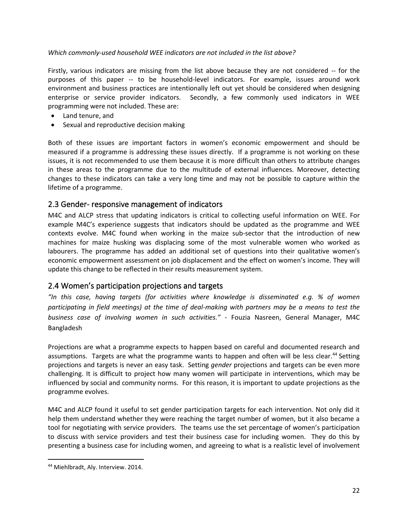#### *Which commonly-used household WEE indicators are not included in the list above?*

Firstly, various indicators are missing from the list above because they are not considered -- for the purposes of this paper -- to be household-level indicators. For example, issues around work environment and business practices are intentionally left out yet should be considered when designing enterprise or service provider indicators. Secondly, a few commonly used indicators in WEE programming were not included. These are:

- Land tenure, and
- Sexual and reproductive decision making

Both of these issues are important factors in women's economic empowerment and should be measured if a programme is addressing these issues directly. If a programme is not working on these issues, it is not recommended to use them because it is more difficult than others to attribute changes in these areas to the programme due to the multitude of external influences. Moreover, detecting changes to these indicators can take a very long time and may not be possible to capture within the lifetime of a programme.

## <span id="page-24-0"></span>2.3 Gender- responsive management of indicators

M4C and ALCP stress that updating indicators is critical to collecting useful information on WEE. For example M4C's experience suggests that indicators should be updated as the programme and WEE contexts evolve. M4C found when working in the maize sub-sector that the introduction of new machines for maize husking was displacing some of the most vulnerable women who worked as labourers. The programme has added an additional set of questions into their qualitative women's economic empowerment assessment on job displacement and the effect on women's income. They will update this change to be reflected in their results measurement system.

## <span id="page-24-1"></span>2.4 Women's participation projections and targets

*"In this case, having targets (for activities where knowledge is disseminated e.g. % of women participating in field meetings) at the time of deal-making with partners may be a means to test the business case of involving women in such activities."* - Fouzia Nasreen, General Manager, M4C Bangladesh

Projections are what a programme expects to happen based on careful and documented research and assumptions. Targets are what the programme wants to happen and often will be less clear.<sup>44</sup> Setting projections and targets is never an easy task. Setting *gender* projections and targets can be even more challenging. It is difficult to project how many women will participate in interventions, which may be influenced by social and community norms. For this reason, it is important to update projections as the programme evolves.

M4C and ALCP found it useful to set gender participation targets for each intervention. Not only did it help them understand whether they were reaching the target number of women, but it also became a tool for negotiating with service providers. The teams use the set percentage of women's participation to discuss with service providers and test their business case for including women. They do this by presenting a business case for including women, and agreeing to what is a realistic level of involvement

<sup>44</sup> Miehlbradt, Aly. Interview. 2014.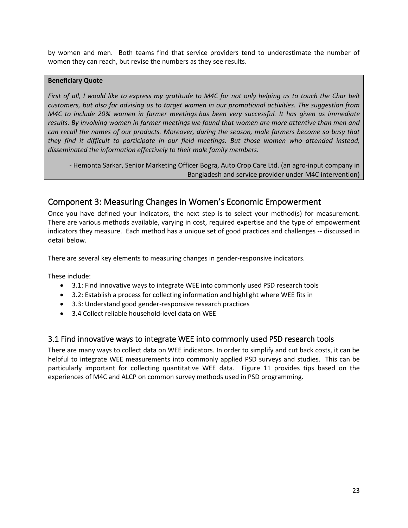by women and men. Both teams find that service providers tend to underestimate the number of women they can reach, but revise the numbers as they see results.

#### **Beneficiary Quote**

*First of all, I would like to express my gratitude to M4C for not only helping us to touch the Char belt customers, but also for advising us to target women in our promotional activities. The suggestion from M4C to include 20% women in farmer meetings has been very successful. It has given us immediate results. By involving women in farmer meetings we found that women are more attentive than men and can recall the names of our products. Moreover, during the season, male farmers become so busy that they find it difficult to participate in our field meetings. But those women who attended instead, disseminated the information effectively to their male family members.* 

- Hemonta Sarkar, Senior Marketing Officer Bogra, Auto Crop Care Ltd. (an agro-input company in Bangladesh and service provider under M4C intervention)

## <span id="page-25-0"></span>Component 3: Measuring Changes in Women's Economic Empowerment

Once you have defined your indicators, the next step is to select your method(s) for measurement. There are various methods available, varying in cost, required expertise and the type of empowerment indicators they measure. Each method has a unique set of good practices and challenges -- discussed in detail below.

There are several key elements to measuring changes in gender-responsive indicators.

These include:

- 3.1: Find innovative ways to integrate WEE into commonly used PSD research tools
- 3.2: Establish a process for collecting information and highlight where WEE fits in
- 3.3: Understand good gender-responsive research practices
- 3.4 Collect reliable household-level data on WEE

## <span id="page-25-1"></span>3.1 Find innovative ways to integrate WEE into commonly used PSD research tools

There are many ways to collect data on WEE indicators. In order to simplify and cut back costs, it can be helpful to integrate WEE measurements into commonly applied PSD surveys and studies. This can be particularly important for collecting quantitative WEE data. Figure 11 provides tips based on the experiences of M4C and ALCP on common survey methods used in PSD programming.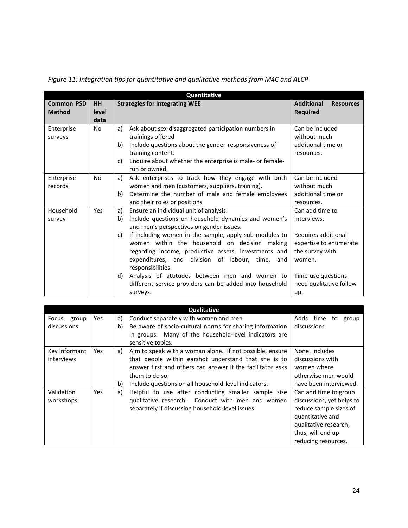|                                    |                            | Quantitative                                                                                                                                                                                                                                                                                                                                                                                                                                                                                                                             |                                                                                                                                                                      |
|------------------------------------|----------------------------|------------------------------------------------------------------------------------------------------------------------------------------------------------------------------------------------------------------------------------------------------------------------------------------------------------------------------------------------------------------------------------------------------------------------------------------------------------------------------------------------------------------------------------------|----------------------------------------------------------------------------------------------------------------------------------------------------------------------|
| <b>Common PSD</b><br><b>Method</b> | <b>HH</b><br>level<br>data | <b>Strategies for Integrating WEE</b>                                                                                                                                                                                                                                                                                                                                                                                                                                                                                                    | <b>Additional</b><br><b>Resources</b><br><b>Required</b>                                                                                                             |
| Enterprise<br>surveys              | <b>No</b>                  | Ask about sex-disaggregated participation numbers in<br>a)<br>trainings offered<br>Include questions about the gender-responsiveness of<br>b)<br>training content.<br>Enquire about whether the enterprise is male- or female-<br>C)<br>run or owned.                                                                                                                                                                                                                                                                                    | Can be included<br>without much<br>additional time or<br>resources.                                                                                                  |
| Enterprise<br>records              | No                         | Ask enterprises to track how they engage with both<br>a)<br>women and men (customers, suppliers, training).<br>Determine the number of male and female employees<br>b)<br>and their roles or positions                                                                                                                                                                                                                                                                                                                                   | Can be included<br>without much<br>additional time or<br>resources.                                                                                                  |
| Household<br>survey                | Yes                        | Ensure an individual unit of analysis.<br>a)<br>Include questions on household dynamics and women's<br>b)<br>and men's perspectives on gender issues.<br>If including women in the sample, apply sub-modules to<br>C)<br>women within the household on decision making<br>regarding income, productive assets, investments and<br>expenditures, and division of labour, time,<br>and<br>responsibilities.<br>Analysis of attitudes between men and women to<br>d)<br>different service providers can be added into household<br>surveys. | Can add time to<br>interviews.<br>Requires additional<br>expertise to enumerate<br>the survey with<br>women.<br>Time-use questions<br>need qualitative follow<br>up. |

*Figure 11: Integration tips for quantitative and qualitative methods from M4C and ALCP*

|                |            |    | Qualitative                                                |                             |
|----------------|------------|----|------------------------------------------------------------|-----------------------------|
| Focus<br>group | Yes        | a) | Conduct separately with women and men.                     | Adds<br>time<br>group<br>to |
| discussions    |            | b) | Be aware of socio-cultural norms for sharing information   | discussions.                |
|                |            |    | in groups. Many of the household-level indicators are      |                             |
|                |            |    | sensitive topics.                                          |                             |
| Key informant  | Yes        | a) | Aim to speak with a woman alone. If not possible, ensure   | None. Includes              |
| interviews     |            |    | that people within earshot understand that she is to       | discussions with            |
|                |            |    | answer first and others can answer if the facilitator asks | women where                 |
|                |            |    | them to do so.                                             | otherwise men would         |
|                |            | b) | Include questions on all household-level indicators.       | have been interviewed.      |
| Validation     | <b>Yes</b> | a) | Helpful to use after conducting smaller sample size        | Can add time to group       |
| workshops      |            |    | qualitative research. Conduct with men and women           | discussions, yet helps to   |
|                |            |    | separately if discussing household-level issues.           | reduce sample sizes of      |
|                |            |    |                                                            | quantitative and            |
|                |            |    |                                                            | qualitative research,       |
|                |            |    |                                                            | thus, will end up           |
|                |            |    |                                                            | reducing resources.         |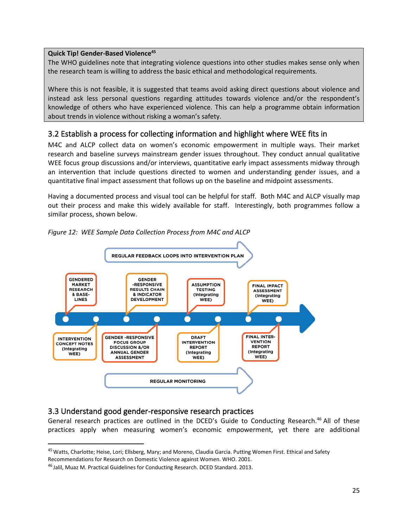#### **Quick Tip! Gender-Based Violence<sup>45</sup>**

The WHO guidelines note that integrating violence questions into other studies makes sense only when the research team is willing to address the basic ethical and methodological requirements.

Where this is not feasible, it is suggested that teams avoid asking direct questions about violence and instead ask less personal questions regarding attitudes towards violence and/or the respondent's knowledge of others who have experienced violence. This can help a programme obtain information about trends in violence without risking a woman's safety.

## <span id="page-27-0"></span>3.2 Establish a process for collecting information and highlight where WEE fits in

M4C and ALCP collect data on women's economic empowerment in multiple ways. Their market research and baseline surveys mainstream gender issues throughout. They conduct annual qualitative WEE focus group discussions and/or interviews, quantitative early impact assessments midway through an intervention that include questions directed to women and understanding gender issues, and a quantitative final impact assessment that follows up on the baseline and midpoint assessments.

Having a documented process and visual tool can be helpful for staff. Both M4C and ALCP visually map out their process and make this widely available for staff. Interestingly, both programmes follow a similar process, shown below.

<span id="page-27-1"></span>

*Figure 12: WEE Sample Data Collection Process from M4C and ALCP*

## 3.3 Understand good gender-responsive research practices

General research practices are outlined in the DCED's Guide to Conducting Research.<sup>46</sup> All of these practices apply when measuring women's economic empowerment, yet there are additional

<sup>&</sup>lt;sup>45</sup> Watts, Charlotte; Heise, Lori; Ellsberg, Mary; and Moreno, Claudia Garcia. Putting Women First. Ethical and Safety Recommendations for Research on Domestic Violence against Women. WHO. 2001.

<sup>46</sup> Jalil, Muaz M. Practical Guidelines for Conducting Research. DCED Standard. 2013.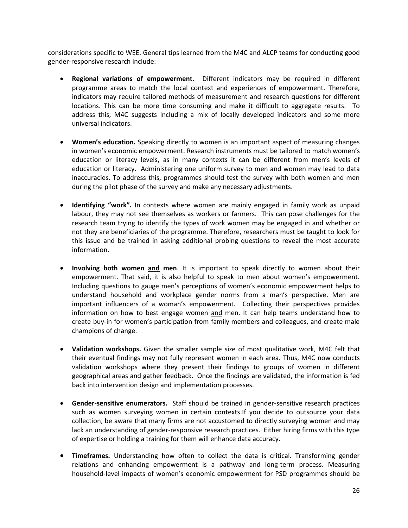considerations specific to WEE. General tips learned from the M4C and ALCP teams for conducting good gender-responsive research include:

- **Regional variations of empowerment.** Different indicators may be required in different programme areas to match the local context and experiences of empowerment. Therefore, indicators may require tailored methods of measurement and research questions for different locations. This can be more time consuming and make it difficult to aggregate results. To address this, M4C suggests including a mix of locally developed indicators and some more universal indicators.
- **Women's education.** Speaking directly to women is an important aspect of measuring changes in women's economic empowerment. Research instruments must be tailored to match women's education or literacy levels, as in many contexts it can be different from men's levels of education or literacy. Administering one uniform survey to men and women may lead to data inaccuracies. To address this, programmes should test the survey with both women and men during the pilot phase of the survey and make any necessary adjustments.
- **Identifying "work".** In contexts where women are mainly engaged in family work as unpaid labour, they may not see themselves as workers or farmers. This can pose challenges for the research team trying to identify the types of work women may be engaged in and whether or not they are beneficiaries of the programme. Therefore, researchers must be taught to look for this issue and be trained in asking additional probing questions to reveal the most accurate information.
- **Involving both women and men**. It is important to speak directly to women about their empowerment. That said, it is also helpful to speak to men about women's empowerment. Including questions to gauge men's perceptions of women's economic empowerment helps to understand household and workplace gender norms from a man's perspective. Men are important influencers of a woman's empowerment. Collecting their perspectives provides information on how to best engage women and men. It can help teams understand how to create buy-in for women's participation from family members and colleagues, and create male champions of change.
- **Validation workshops.** Given the smaller sample size of most qualitative work, M4C felt that their eventual findings may not fully represent women in each area. Thus, M4C now conducts validation workshops where they present their findings to groups of women in different geographical areas and gather feedback. Once the findings are validated, the information is fed back into intervention design and implementation processes.
- **Gender-sensitive enumerators.** Staff should be trained in gender-sensitive research practices such as women surveying women in certain contexts.If you decide to outsource your data collection, be aware that many firms are not accustomed to directly surveying women and may lack an understanding of gender-responsive research practices. Either hiring firms with this type of expertise or holding a training for them will enhance data accuracy.
- **Timeframes.** Understanding how often to collect the data is critical. Transforming gender relations and enhancing empowerment is a pathway and long-term process. Measuring household-level impacts of women's economic empowerment for PSD programmes should be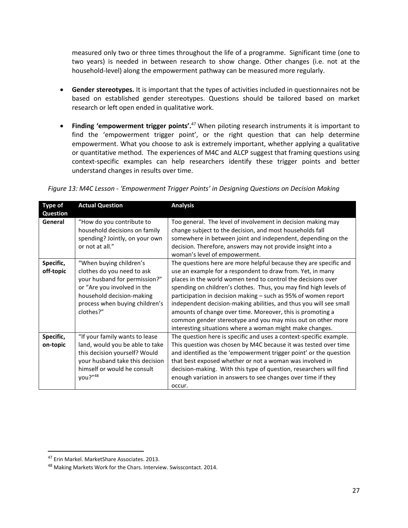measured only two or three times throughout the life of a programme. Significant time (one to two years) is needed in between research to show change. Other changes (i.e. not at the household-level) along the empowerment pathway can be measured more regularly.

- **Gender stereotypes.** It is important that the types of activities included in questionnaires not be based on established gender stereotypes. Questions should be tailored based on market research or left open ended in qualitative work.
- **Finding 'empowerment trigger points'.** <sup>47</sup> When piloting research instruments it is important to find the 'empowerment trigger point', or the right question that can help determine empowerment. What you choose to ask is extremely important, whether applying a qualitative or quantitative method. The experiences of M4C and ALCP suggest that framing questions using context-specific examples can help researchers identify these trigger points and better understand changes in results over time.

| <b>Type of</b> | <b>Actual Question</b>                                                                                          | <b>Analysis</b>                                                                                                                                                                                                                                                                          |
|----------------|-----------------------------------------------------------------------------------------------------------------|------------------------------------------------------------------------------------------------------------------------------------------------------------------------------------------------------------------------------------------------------------------------------------------|
| Question       |                                                                                                                 |                                                                                                                                                                                                                                                                                          |
| General        | "How do you contribute to<br>household decisions on family<br>spending? Jointly, on your own<br>or not at all." | Too general. The level of involvement in decision making may<br>change subject to the decision, and most households fall<br>somewhere in between joint and independent, depending on the<br>decision. Therefore, answers may not provide insight into a<br>woman's level of empowerment. |
| Specific,      | "When buying children's                                                                                         | The questions here are more helpful because they are specific and                                                                                                                                                                                                                        |
| off-topic      | clothes do you need to ask                                                                                      | use an example for a respondent to draw from. Yet, in many                                                                                                                                                                                                                               |
|                | your husband for permission?"                                                                                   | places in the world women tend to control the decisions over                                                                                                                                                                                                                             |
|                | or "Are you involved in the                                                                                     | spending on children's clothes. Thus, you may find high levels of                                                                                                                                                                                                                        |
|                | household decision-making                                                                                       | participation in decision making - such as 95% of women report                                                                                                                                                                                                                           |
|                | process when buying children's                                                                                  | independent decision-making abilities, and thus you will see small                                                                                                                                                                                                                       |
|                | clothes?"                                                                                                       | amounts of change over time. Moreover, this is promoting a                                                                                                                                                                                                                               |
|                |                                                                                                                 | common gender stereotype and you may miss out on other more                                                                                                                                                                                                                              |
|                |                                                                                                                 | interesting situations where a woman might make changes.                                                                                                                                                                                                                                 |
| Specific,      | "If your family wants to lease                                                                                  | The question here is specific and uses a context-specific example.                                                                                                                                                                                                                       |
| on-topic       | land, would you be able to take                                                                                 | This question was chosen by M4C because it was tested over time                                                                                                                                                                                                                          |
|                | this decision yourself? Would                                                                                   | and identified as the 'empowerment trigger point' or the question                                                                                                                                                                                                                        |
|                | your husband take this decision                                                                                 | that best exposed whether or not a woman was involved in                                                                                                                                                                                                                                 |
|                | himself or would he consult                                                                                     | decision-making. With this type of question, researchers will find                                                                                                                                                                                                                       |
|                | you?"48                                                                                                         | enough variation in answers to see changes over time if they                                                                                                                                                                                                                             |
|                |                                                                                                                 | occur.                                                                                                                                                                                                                                                                                   |

*Figure 13: M4C Lesson - 'Empowerment Trigger Points' in Designing Questions on Decision Making*

<sup>47</sup> Erin Markel. MarketShare Associates. 2013.

<sup>48</sup> Making Markets Work for the Chars. Interview. Swisscontact. 2014.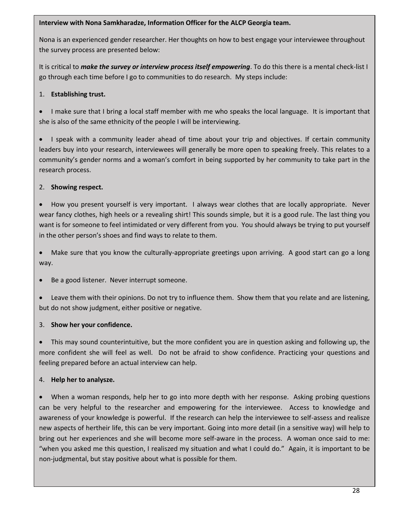#### **Interview with Nona Samkharadze, Information Officer for the ALCP Georgia team.**

Nona is an experienced gender researcher. Her thoughts on how to best engage your interviewee throughout the survey process are presented below:

It is critical to *make the survey or interview process itself empowering*. To do this there is a mental check-list I go through each time before I go to communities to do research. My steps include:

## 1. **Establishing trust.**

• I make sure that I bring a local staff member with me who speaks the local language. It is important that she is also of the same ethnicity of the people I will be interviewing.

• I speak with a community leader ahead of time about your trip and objectives. If certain community leaders buy into your research, interviewees will generally be more open to speaking freely. This relates to a community's gender norms and a woman's comfort in being supported by her community to take part in the research process.

## 2. **Showing respect.**

• How you present yourself is very important. I always wear clothes that are locally appropriate. Never wear fancy clothes, high heels or a revealing shirt! This sounds simple, but it is a good rule. The last thing you want is for someone to feel intimidated or very different from you. You should always be trying to put yourself in the other person's shoes and find ways to relate to them.

• Make sure that you know the culturally-appropriate greetings upon arriving. A good start can go a long way.

Be a good listener. Never interrupt someone.

• Leave them with their opinions. Do not try to influence them. Show them that you relate and are listening, but do not show judgment, either positive or negative.

## 3. **Show her your confidence.**

• This may sound counterintuitive, but the more confident you are in question asking and following up, the more confident she will feel as well. Do not be afraid to show confidence. Practicing your questions and feeling prepared before an actual interview can help.

## 4. **Help her to analysze.**

• When a woman responds, help her to go into more depth with her response. Asking probing questions can be very helpful to the researcher and empowering for the interviewee. Access to knowledge and awareness of your knowledge is powerful. If the research can help the interviewee to self-assess and realisze new aspects of hertheir life, this can be very important. Going into more detail (in a sensitive way) will help to bring out her experiences and she will become more self-aware in the process. A woman once said to me: "when you asked me this question, I realiszed my situation and what I could do." Again, it is important to be non-judgmental, but stay positive about what is possible for them.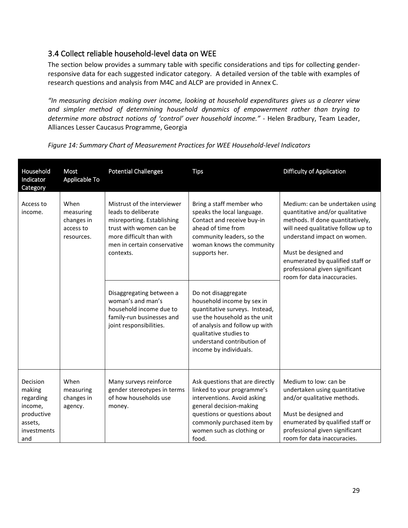## <span id="page-31-0"></span>3.4 Collect reliable household-level data on WEE

The section below provides a summary table with specific considerations and tips for collecting genderresponsive data for each suggested indicator category. A detailed version of the table with examples of research questions and analysis from M4C and ALCP are provided in Annex C.

*"In measuring decision making over income, looking at household expenditures gives us a clearer view and simpler method of determining household dynamics of empowerment rather than trying to determine more abstract notions of 'control' over household income."* - Helen Bradbury, Team Leader, Alliances Lesser Caucasus Programme, Georgia

| Household<br>Indicator<br>Category                                                        | Most<br>Applicable To                                      | <b>Potential Challenges</b>                                                                                                                                                                                                                                                                                             | <b>Tips</b>                                                                                                                                                                                                                                                                                                                                                                                                                       | <b>Difficulty of Application</b>                                                                                                                                                                                                                                                                         |
|-------------------------------------------------------------------------------------------|------------------------------------------------------------|-------------------------------------------------------------------------------------------------------------------------------------------------------------------------------------------------------------------------------------------------------------------------------------------------------------------------|-----------------------------------------------------------------------------------------------------------------------------------------------------------------------------------------------------------------------------------------------------------------------------------------------------------------------------------------------------------------------------------------------------------------------------------|----------------------------------------------------------------------------------------------------------------------------------------------------------------------------------------------------------------------------------------------------------------------------------------------------------|
| Access to<br>income.                                                                      | When<br>measuring<br>changes in<br>access to<br>resources. | Mistrust of the interviewer<br>leads to deliberate<br>misreporting. Establishing<br>trust with women can be<br>more difficult than with<br>men in certain conservative<br>contexts.<br>Disaggregating between a<br>woman's and man's<br>household income due to<br>family-run businesses and<br>joint responsibilities. | Bring a staff member who<br>speaks the local language.<br>Contact and receive buy-in<br>ahead of time from<br>community leaders, so the<br>woman knows the community<br>supports her.<br>Do not disaggregate<br>household income by sex in<br>quantitative surveys. Instead,<br>use the household as the unit<br>of analysis and follow up with<br>qualitative studies to<br>understand contribution of<br>income by individuals. | Medium: can be undertaken using<br>quantitative and/or qualitative<br>methods. If done quantitatively,<br>will need qualitative follow up to<br>understand impact on women.<br>Must be designed and<br>enumerated by qualified staff or<br>professional given significant<br>room for data inaccuracies. |
| Decision<br>making<br>regarding<br>income,<br>productive<br>assets,<br>investments<br>and | When<br>measuring<br>changes in<br>agency.                 | Many surveys reinforce<br>gender stereotypes in terms<br>of how households use<br>money.                                                                                                                                                                                                                                | Ask questions that are directly<br>linked to your programme's<br>interventions. Avoid asking<br>general decision-making<br>questions or questions about<br>commonly purchased item by<br>women such as clothing or<br>food.                                                                                                                                                                                                       | Medium to low: can be<br>undertaken using quantitative<br>and/or qualitative methods.<br>Must be designed and<br>enumerated by qualified staff or<br>professional given significant<br>room for data inaccuracies.                                                                                       |

*Figure 14: Summary Chart of Measurement Practices for WEE Household-level Indicators*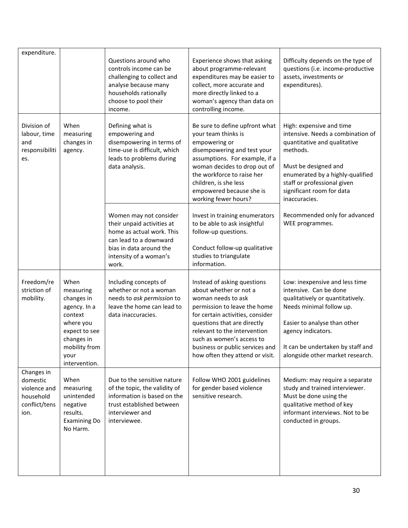|                                                             | expenditure.                                                                 |                                                                                                                                                  | Questions around who<br>controls income can be<br>challenging to collect and<br>analyse because many<br>households rationally<br>choose to pool their<br>income.          | Experience shows that asking<br>about programme-relevant<br>expenditures may be easier to<br>collect, more accurate and<br>more directly linked to a<br>woman's agency than data on<br>controlling income.                                                                                                        | Difficulty depends on the type of<br>questions (i.e. income-productive<br>assets, investments or<br>expenditures).                                                                                                                                      |
|-------------------------------------------------------------|------------------------------------------------------------------------------|--------------------------------------------------------------------------------------------------------------------------------------------------|---------------------------------------------------------------------------------------------------------------------------------------------------------------------------|-------------------------------------------------------------------------------------------------------------------------------------------------------------------------------------------------------------------------------------------------------------------------------------------------------------------|---------------------------------------------------------------------------------------------------------------------------------------------------------------------------------------------------------------------------------------------------------|
| Division of<br>labour, time<br>and<br>responsibiliti<br>es. |                                                                              | When<br>measuring<br>changes in<br>agency.                                                                                                       | Defining what is<br>empowering and<br>disempowering in terms of<br>time-use is difficult, which<br>leads to problems during<br>data analysis.                             | Be sure to define upfront what<br>your team thinks is<br>empowering or<br>disempowering and test your<br>assumptions. For example, if a<br>woman decides to drop out of<br>the workforce to raise her<br>children, is she less<br>empowered because she is<br>working fewer hours?                                | High: expensive and time<br>intensive. Needs a combination of<br>quantitative and qualitative<br>methods.<br>Must be designed and<br>enumerated by a highly-qualified<br>staff or professional given<br>significant room for data<br>inaccuracies.      |
|                                                             |                                                                              |                                                                                                                                                  | Women may not consider<br>their unpaid activities at<br>home as actual work. This<br>can lead to a downward<br>bias in data around the<br>intensity of a woman's<br>work. | Invest in training enumerators<br>to be able to ask insightful<br>follow-up questions.<br>Conduct follow-up qualitative<br>studies to triangulate<br>information.                                                                                                                                                 | Recommended only for advanced<br>WEE programmes.                                                                                                                                                                                                        |
|                                                             | Freedom/re<br>striction of<br>mobility.                                      | When<br>measuring<br>changes in<br>agency. In a<br>context<br>where you<br>expect to see<br>changes in<br>mobility from<br>your<br>intervention. | Including concepts of<br>whether or not a woman<br>needs to ask permission to<br>leave the home can lead to<br>data inaccuracies.                                         | Instead of asking questions<br>about whether or not a<br>woman needs to ask<br>permission to leave the home<br>for certain activities, consider<br>questions that are directly<br>relevant to the intervention<br>such as women's access to<br>business or public services and<br>how often they attend or visit. | Low: inexpensive and less time<br>intensive. Can be done<br>qualitatively or quantitatively.<br>Needs minimal follow up.<br>Easier to analyse than other<br>agency indicators.<br>It can be undertaken by staff and<br>alongside other market research. |
|                                                             | Changes in<br>domestic<br>violence and<br>household<br>conflict/tens<br>ion. | When<br>measuring<br>unintended<br>negative<br>results.<br><b>Examining Do</b><br>No Harm.                                                       | Due to the sensitive nature<br>of the topic, the validity of<br>information is based on the<br>trust established between<br>interviewer and<br>interviewee.               | Follow WHO 2001 guidelines<br>for gender based violence<br>sensitive research.                                                                                                                                                                                                                                    | Medium: may require a separate<br>study and trained interviewer.<br>Must be done using the<br>qualitative method of key<br>informant interviews. Not to be<br>conducted in groups.                                                                      |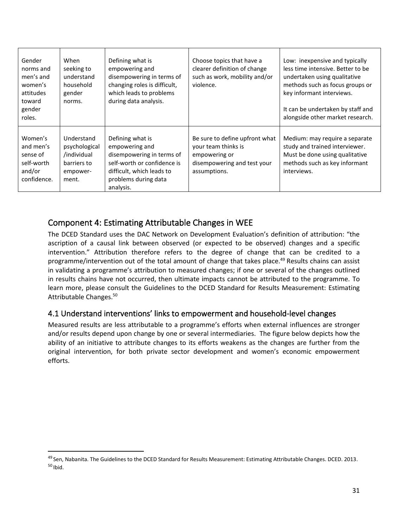| Gender<br>norms and<br>men's and<br>women's<br>attitudes<br>toward<br>gender<br>roles. | When<br>seeking to<br>understand<br>household<br>gender<br>norms.              | Defining what is<br>empowering and<br>disempowering in terms of<br>changing roles is difficult,<br>which leads to problems<br>during data analysis.              | Choose topics that have a<br>clearer definition of change<br>such as work, mobility and/or<br>violence.               | Low: inexpensive and typically<br>less time intensive. Better to be<br>undertaken using qualitative<br>methods such as focus groups or<br>key informant interviews.<br>It can be undertaken by staff and<br>alongside other market research. |
|----------------------------------------------------------------------------------------|--------------------------------------------------------------------------------|------------------------------------------------------------------------------------------------------------------------------------------------------------------|-----------------------------------------------------------------------------------------------------------------------|----------------------------------------------------------------------------------------------------------------------------------------------------------------------------------------------------------------------------------------------|
| Women's<br>and men's<br>sense of<br>self-worth<br>and/or<br>confidence.                | Understand<br>psychological<br>/individual<br>barriers to<br>empower-<br>ment. | Defining what is<br>empowering and<br>disempowering in terms of<br>self-worth or confidence is<br>difficult, which leads to<br>problems during data<br>analysis. | Be sure to define upfront what<br>your team thinks is<br>empowering or<br>disempowering and test your<br>assumptions. | Medium: may require a separate<br>study and trained interviewer.<br>Must be done using qualitative<br>methods such as key informant<br>interviews.                                                                                           |

## <span id="page-33-0"></span>Component 4: Estimating Attributable Changes in WEE

The DCED Standard uses the DAC Network on Development Evaluation's definition of attribution: "the ascription of a causal link between observed (or expected to be observed) changes and a specific intervention." Attribution therefore refers to the degree of change that can be credited to a programme/intervention out of the total amount of change that takes place.<sup>49</sup> Results chains can assist in validating a programme's attribution to measured changes; if one or several of the changes outlined in results chains have not occurred, then ultimate impacts cannot be attributed to the programme. To learn more, please consult the Guidelines to the DCED Standard for Results Measurement: Estimating Attributable Changes. 50

## <span id="page-33-1"></span>4.1 Understand interventions' links to empowerment and household-level changes

Measured results are less attributable to a programme's efforts when external influences are stronger and/or results depend upon change by one or several intermediaries. The figure below depicts how the ability of an initiative to attribute changes to its efforts weakens as the changes are further from the original intervention, for both private sector development and women's economic empowerment efforts.

<sup>&</sup>lt;sup>49</sup> Sen, Nabanita. The Guidelines to the DCED Standard for Results Measurement: Estimating Attributable Changes. DCED. 2013.  $50$  Ibid.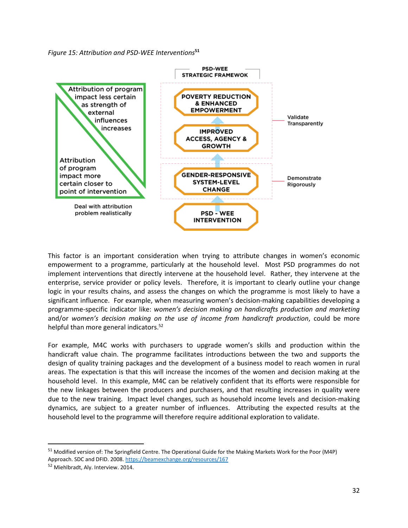*Figure 15: Attribution and PSD-WEE Interventions***<sup>51</sup>**



This factor is an important consideration when trying to attribute changes in women's economic empowerment to a programme, particularly at the household level. Most PSD programmes do not implement interventions that directly intervene at the household level. Rather, they intervene at the enterprise, service provider or policy levels. Therefore, it is important to clearly outline your change logic in your results chains, and assess the changes on which the programme is most likely to have a significant influence. For example, when measuring women's decision-making capabilities developing a programme-specific indicator like: *women's decision making on handicrafts production and marketing* and/or *women's decision making on the use of income from handicraft production*, could be more helpful than more general indicators.<sup>52</sup>

For example, M4C works with purchasers to upgrade women's skills and production within the handicraft value chain. The programme facilitates introductions between the two and supports the design of quality training packages and the development of a business model to reach women in rural areas. The expectation is that this will increase the incomes of the women and decision making at the household level. In this example, M4C can be relatively confident that its efforts were responsible for the new linkages between the producers and purchasers, and that resulting increases in quality were due to the new training. Impact level changes, such as household income levels and decision-making dynamics, are subject to a greater number of influences. Attributing the expected results at the household level to the programme will therefore require additional exploration to validate.

<sup>51</sup> Modified version of: The Springfield Centre. The Operational Guide for the Making Markets Work for the Poor (M4P) Approach. SDC and DFID. 2008[. https://beamexchange.org/resources/167](https://beamexchange.org/resources/167)

<sup>52</sup> Miehlbradt, Aly. Interview. 2014.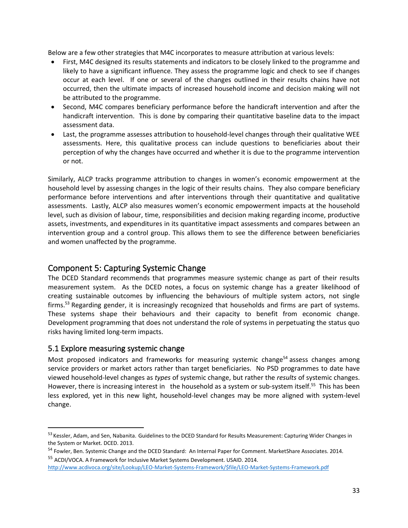Below are a few other strategies that M4C incorporates to measure attribution at various levels:

- First, M4C designed its results statements and indicators to be closely linked to the programme and likely to have a significant influence. They assess the programme logic and check to see if changes occur at each level. If one or several of the changes outlined in their results chains have not occurred, then the ultimate impacts of increased household income and decision making will not be attributed to the programme.
- Second, M4C compares beneficiary performance before the handicraft intervention and after the handicraft intervention. This is done by comparing their quantitative baseline data to the impact assessment data.
- Last, the programme assesses attribution to household-level changes through their qualitative WEE assessments. Here, this qualitative process can include questions to beneficiaries about their perception of why the changes have occurred and whether it is due to the programme intervention or not.

Similarly, ALCP tracks programme attribution to changes in women's economic empowerment at the household level by assessing changes in the logic of their results chains. They also compare beneficiary performance before interventions and after interventions through their quantitative and qualitative assessments. Lastly, ALCP also measures women's economic empowerment impacts at the household level, such as division of labour, time, responsibilities and decision making regarding income, productive assets, investments, and expenditures in its quantitative impact assessments and compares between an intervention group and a control group. This allows them to see the difference between beneficiaries and women unaffected by the programme.

## <span id="page-35-0"></span>Component 5: Capturing Systemic Change

The DCED Standard recommends that programmes measure systemic change as part of their results measurement system. As the DCED notes, a focus on systemic change has a greater likelihood of creating sustainable outcomes by influencing the behaviours of multiple system actors, not single firms.<sup>53</sup> Regarding gender, it is increasingly recognized that households and firms are part of systems. These systems shape their behaviours and their capacity to benefit from economic change. Development programming that does not understand the role of systems in perpetuating the status quo risks having limited long-term impacts.

## <span id="page-35-1"></span>5.1 Explore measuring systemic change

Most proposed indicators and frameworks for measuring systemic change<sup>54</sup> assess changes among service providers or market actors rather than target beneficiaries. No PSD programmes to date have viewed household-level changes as *types* of systemic change, but rather the *results* of systemic changes. However, there is increasing interest in the household as a system or sub-system itself.<sup>55</sup> This has been less explored, yet in this new light, household-level changes may be more aligned with system-level change.

<sup>53</sup> Kessler, Adam, and Sen, Nabanita. Guidelines to the DCED Standard for Results Measurement: Capturing Wider Changes in the System or Market. DCED. 2013.

<sup>54</sup> Fowler, Ben. Systemic Change and the DCED Standard: An Internal Paper for Comment. MarketShare Associates. 2014.

<sup>55</sup> ACDI/VOCA. A Framework for Inclusive Market Systems Development. USAID. 2014. [http://www.acdivoca.org/site/Lookup/LEO-Market-Systems-Framework/\\$file/LEO-Market-Systems-Framework.pdf](http://www.acdivoca.org/site/Lookup/LEO-Market-Systems-Framework/$file/LEO-Market-Systems-Framework.pdf)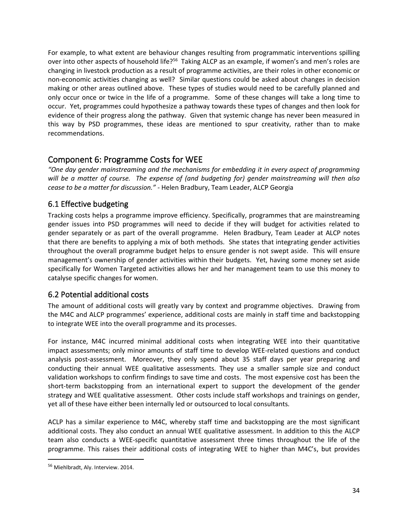For example, to what extent are behaviour changes resulting from programmatic interventions spilling over into other aspects of household life?<sup>56</sup> Taking ALCP as an example, if women's and men's roles are changing in livestock production as a result of programme activities, are their roles in other economic or non-economic activities changing as well? Similar questions could be asked about changes in decision making or other areas outlined above. These types of studies would need to be carefully planned and only occur once or twice in the life of a programme. Some of these changes will take a long time to occur. Yet, programmes could hypothesize a pathway towards these types of changes and then look for evidence of their progress along the pathway. Given that systemic change has never been measured in this way by PSD programmes, these ideas are mentioned to spur creativity, rather than to make recommendations.

## <span id="page-36-0"></span>Component 6: Programme Costs for WEE

*"One day gender mainstreaming and the mechanisms for embedding it in every aspect of programming will be a matter of course. The expense of (and budgeting for) gender mainstreaming will then also cease to be a matter for discussion." -* Helen Bradbury, Team Leader, ALCP Georgia

## <span id="page-36-1"></span>6.1 Effective budgeting

Tracking costs helps a programme improve efficiency. Specifically, programmes that are mainstreaming gender issues into PSD programmes will need to decide if they will budget for activities related to gender separately or as part of the overall programme. Helen Bradbury, Team Leader at ALCP notes that there are benefits to applying a mix of both methods. She states that integrating gender activities throughout the overall programme budget helps to ensure gender is not swept aside. This will ensure management's ownership of gender activities within their budgets. Yet, having some money set aside specifically for Women Targeted activities allows her and her management team to use this money to catalyse specific changes for women.

## <span id="page-36-2"></span>6.2 Potential additional costs

The amount of additional costs will greatly vary by context and programme objectives. Drawing from the M4C and ALCP programmes' experience, additional costs are mainly in staff time and backstopping to integrate WEE into the overall programme and its processes.

For instance, M4C incurred minimal additional costs when integrating WEE into their quantitative impact assessments; only minor amounts of staff time to develop WEE-related questions and conduct analysis post-assessment. Moreover, they only spend about 35 staff days per year preparing and conducting their annual WEE qualitative assessments. They use a smaller sample size and conduct validation workshops to confirm findings to save time and costs. The most expensive cost has been the short-term backstopping from an international expert to support the development of the gender strategy and WEE qualitative assessment. Other costs include staff workshops and trainings on gender, yet all of these have either been internally led or outsourced to local consultants.

ACLP has a similar experience to M4C, whereby staff time and backstopping are the most significant additional costs. They also conduct an annual WEE qualitative assessment. In addition to this the ALCP team also conducts a WEE-specific quantitative assessment three times throughout the life of the programme. This raises their additional costs of integrating WEE to higher than M4C's, but provides

<sup>56</sup> Miehlbradt, Aly. Interview. 2014.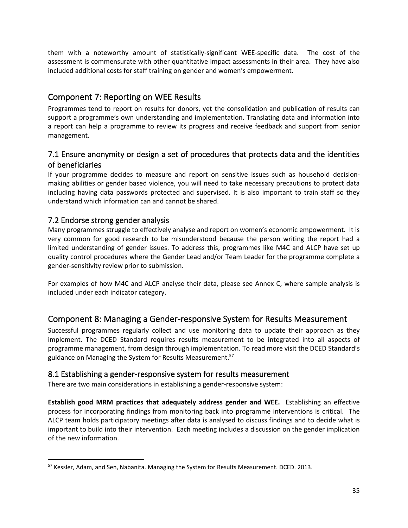them with a noteworthy amount of statistically-significant WEE-specific data. The cost of the assessment is commensurate with other quantitative impact assessments in their area. They have also included additional costs for staff training on gender and women's empowerment.

## <span id="page-37-0"></span>Component 7: Reporting on WEE Results

Programmes tend to report on results for donors, yet the consolidation and publication of results can support a programme's own understanding and implementation. Translating data and information into a report can help a programme to review its progress and receive feedback and support from senior management.

## 7.1 Ensure anonymity or design a set of procedures that protects data and the identities of beneficiaries

If your programme decides to measure and report on sensitive issues such as household decisionmaking abilities or gender based violence, you will need to take necessary precautions to protect data including having data passwords protected and supervised. It is also important to train staff so they understand which information can and cannot be shared.

## 7.2 Endorse strong gender analysis

Many programmes struggle to effectively analyse and report on women's economic empowerment. It is very common for good research to be misunderstood because the person writing the report had a limited understanding of gender issues. To address this, programmes like M4C and ALCP have set up quality control procedures where the Gender Lead and/or Team Leader for the programme complete a gender-sensitivity review prior to submission.

For examples of how M4C and ALCP analyse their data, please see Annex C, where sample analysis is included under each indicator category.

## <span id="page-37-1"></span>Component 8: Managing a Gender-responsive System for Results Measurement

Successful programmes regularly collect and use monitoring data to update their approach as they implement. The DCED Standard requires results measurement to be integrated into all aspects of programme management, from design through implementation. To read more visit the DCED Standard's guidance on Managing the System for Results Measurement.<sup>57</sup>

## <span id="page-37-2"></span>8.1 Establishing a gender-responsive system for results measurement

There are two main considerations in establishing a gender-responsive system:

**Establish good MRM practices that adequately address gender and WEE.** Establishing an effective process for incorporating findings from monitoring back into programme interventions is critical. The ALCP team holds participatory meetings after data is analysed to discuss findings and to decide what is important to build into their intervention. Each meeting includes a discussion on the gender implication of the new information.

<sup>&</sup>lt;sup>57</sup> Kessler, Adam, and Sen, Nabanita. Managing the System for Results Measurement. DCED. 2013.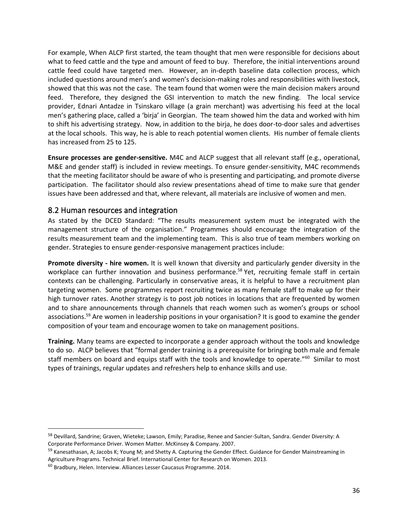For example, When ALCP first started, the team thought that men were responsible for decisions about what to feed cattle and the type and amount of feed to buy. Therefore, the initial interventions around cattle feed could have targeted men. However, an in-depth baseline data collection process, which included questions around men's and women's decision-making roles and responsibilities with livestock, showed that this was not the case. The team found that women were the main decision makers around feed. Therefore, they designed the GSI intervention to match the new finding. The local service provider, Ednari Antadze in Tsinskaro village (a grain merchant) was advertising his feed at the local men's gathering place, called a 'birja' in Georgian. The team showed him the data and worked with him to shift his advertising strategy. Now, in addition to the birja, he does door-to-door sales and advertises at the local schools. This way, he is able to reach potential women clients. His number of female clients has increased from 25 to 125.

**Ensure processes are gender-sensitive.** M4C and ALCP suggest that all relevant staff (e.g., operational, M&E and gender staff) is included in review meetings. To ensure gender-sensitivity, M4C recommends that the meeting facilitator should be aware of who is presenting and participating, and promote diverse participation. The facilitator should also review presentations ahead of time to make sure that gender issues have been addressed and that, where relevant, all materials are inclusive of women and men.

## <span id="page-38-0"></span>8.2 Human resources and integration

As stated by the DCED Standard: "The results measurement system must be integrated with the management structure of the organisation." Programmes should encourage the integration of the results measurement team and the implementing team. This is also true of team members working on gender. Strategies to ensure gender-responsive management practices include:

**Promote diversity - hire women.** It is well known that diversity and particularly gender diversity in the workplace can further innovation and business performance.<sup>58</sup> Yet, recruiting female staff in certain contexts can be challenging. Particularly in conservative areas, it is helpful to have a recruitment plan targeting women. Some programmes report recruiting twice as many female staff to make up for their high turnover rates. Another strategy is to post job notices in locations that are frequented by women and to share announcements through channels that reach women such as women's groups or school associations.<sup>59</sup> Are women in leadership positions in your organisation? It is good to examine the gender composition of your team and encourage women to take on management positions.

**Training.** Many teams are expected to incorporate a gender approach without the tools and knowledge to do so. ALCP believes that "formal gender training is a prerequisite for bringing both male and female staff members on board and equips staff with the tools and knowledge to operate."<sup>60</sup> Similar to most types of trainings, regular updates and refreshers help to enhance skills and use.

<sup>&</sup>lt;sup>58</sup> Devillard, Sandrine; Graven, Wieteke; Lawson, Emily; Paradise, Renee and Sancier-Sultan, Sandra. Gender Diversity: A Corporate Performance Driver. Women Matter. McKinsey & Company. 2007.

<sup>&</sup>lt;sup>59</sup> Kanesathasan, A; Jacobs K; Young M; and Shetty A. Capturing the Gender Effect. Guidance for Gender Mainstreaming in Agriculture Programs. Technical Brief. International Center for Research on Women. 2013.

<sup>&</sup>lt;sup>60</sup> Bradbury, Helen. Interview. Alliances Lesser Caucasus Programme. 2014.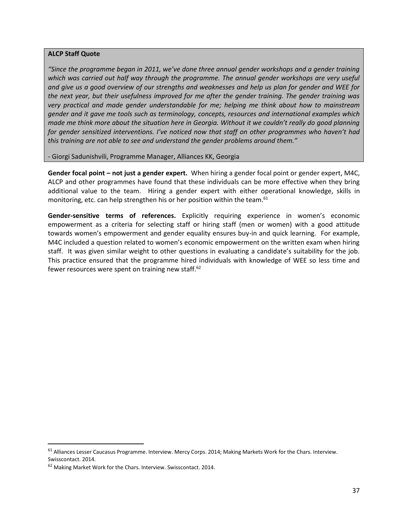#### **ALCP Staff Quote**

*"Since the programme began in 2011, we've done three annual gender workshops and a gender training*  which was carried out half way through the programme. The annual gender workshops are very useful *and give us a good overview of our strengths and weaknesses and help us plan for gender and WEE for the next year, but their usefulness improved for me after the gender training. The gender training was very practical and made gender understandable for me; helping me think about how to mainstream gender and it gave me tools such as terminology, concepts, resources and international examples which made me think more about the situation here in Georgia. Without it we couldn't really do good planning for gender sensitized interventions. I've noticed now that staff on other programmes who haven't had this training are not able to see and understand the gender problems around them."* 

- Giorgi Sadunishvili, Programme Manager, Alliances KK, Georgia

**Gender focal point – not just a gender expert.** When hiring a gender focal point or gender expert, M4C, ALCP and other programmes have found that these individuals can be more effective when they bring additional value to the team. Hiring a gender expert with either operational knowledge, skills in monitoring, etc. can help strengthen his or her position within the team.<sup>61</sup>

**Gender-sensitive terms of references.** Explicitly requiring experience in women's economic empowerment as a criteria for selecting staff or hiring staff (men or women) with a good attitude towards women's empowerment and gender equality ensures buy-in and quick learning.For example, M4C included a question related to women's economic empowerment on the written exam when hiring staff. It was given similar weight to other questions in evaluating a candidate's suitability for the job. This practice ensured that the programme hired individuals with knowledge of WEE so less time and fewer resources were spent on training new staff.<sup>62</sup>

<span id="page-39-0"></span><sup>&</sup>lt;sup>61</sup> Alliances Lesser Caucasus Programme. Interview. Mercy Corps. 2014; Making Markets Work for the Chars. Interview. Swisscontact. 2014.

<sup>62</sup> Making Market Work for the Chars. Interview. Swisscontact. 2014.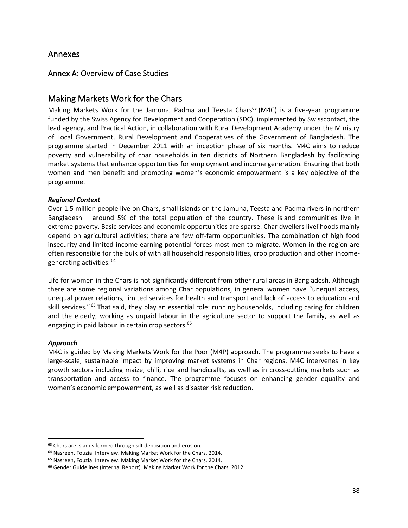## Annexes

## <span id="page-40-0"></span>Annex A: Overview of Case Studies

## Making Markets Work for the Chars

Making Markets Work for the Jamuna, Padma and Teesta Chars<sup>63</sup> (M4C) is a five-year programme funded by the Swiss Agency for Development and Cooperation (SDC), implemented by Swisscontact, the lead agency, and Practical Action, in collaboration with Rural Development Academy under the Ministry of Local Government, Rural Development and Cooperatives of the Government of Bangladesh. The programme started in December 2011 with an inception phase of six months. M4C aims to reduce poverty and vulnerability of char households in ten districts of Northern Bangladesh by facilitating market systems that enhance opportunities for employment and income generation. Ensuring that both women and men benefit and promoting women's economic empowerment is a key objective of the programme.

#### *Regional Context*

Over 1.5 million people live on Chars, small islands on the Jamuna, Teesta and Padma rivers in northern Bangladesh – around 5% of the total population of the country. These island communities live in extreme poverty. Basic services and economic opportunities are sparse. Char dwellers livelihoods mainly depend on agricultural activities; there are few off-farm opportunities. The combination of high food insecurity and limited income earning potential forces most men to migrate. Women in the region are often responsible for the bulk of with all household responsibilities, crop production and other incomegenerating activities. <sup>64</sup>

Life for women in the Chars is not significantly different from other rural areas in Bangladesh. Although there are some regional variations among Char populations, in general women have "unequal access, unequal power relations, limited services for health and transport and lack of access to education and skill services." <sup>65</sup> That said, they play an essential role: running households, including caring for children and the elderly; working as unpaid labour in the agriculture sector to support the family, as well as engaging in paid labour in certain crop sectors.<sup>66</sup>

#### *Approach*

M4C is guided by Making Markets Work for the Poor (M4P) approach. The programme seeks to have a large-scale, sustainable impact by improving market systems in Char regions. M4C intervenes in key growth sectors including maize, chili, rice and handicrafts, as well as in cross-cutting markets such as transportation and access to finance. The programme focuses on enhancing gender equality and women's economic empowerment, as well as disaster risk reduction.

<sup>63</sup> Chars are islands formed through silt deposition and erosion.

<sup>64</sup> Nasreen, Fouzia. Interview. Making Market Work for the Chars. 2014.

<sup>65</sup> Nasreen, Fouzia. Interview. Making Market Work for the Chars. 2014.

<sup>&</sup>lt;sup>66</sup> Gender Guidelines (Internal Report). Making Market Work for the Chars. 2012.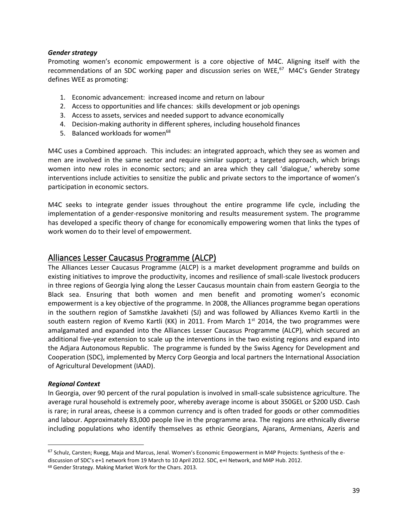#### *Gender strategy*

Promoting women's economic empowerment is a core objective of M4C. Aligning itself with the recommendations of an SDC working paper and discussion series on WEE,<sup>67</sup> M4C's Gender Strategy defines WEE as promoting:

- 1. Economic advancement: increased income and return on labour
- 2. Access to opportunities and life chances: skills development or job openings
- 3. Access to assets, services and needed support to advance economically
- 4. Decision-making authority in different spheres, including household finances
- 5. Balanced workloads for women<sup>68</sup>

M4C uses a Combined approach. This includes: an integrated approach, which they see as women and men are involved in the same sector and require similar support; a targeted approach, which brings women into new roles in economic sectors; and an area which they call 'dialogue,' whereby some interventions include activities to sensitize the public and private sectors to the importance of women's participation in economic sectors.

M4C seeks to integrate gender issues throughout the entire programme life cycle, including the implementation of a gender-responsive monitoring and results measurement system. The programme has developed a specific theory of change for economically empowering women that links the types of work women do to their level of empowerment.

## Alliances Lesser Caucasus Programme (ALCP)

The Alliances Lesser Caucasus Programme (ALCP) is a market development programme and builds on existing initiatives to improve the productivity, incomes and resilience of small-scale livestock producers in three regions of Georgia lying along the Lesser Caucasus mountain chain from eastern Georgia to the Black sea. Ensuring that both women and men benefit and promoting women's economic empowerment is a key objective of the programme. In 2008, the Alliances programme began operations in the southern region of Samstkhe Javakheti (SJ) and was followed by Alliances Kvemo Kartli in the south eastern region of Kvemo Kartli (KK) in 2011. From March  $1<sup>st</sup>$  2014, the two programmes were amalgamated and expanded into the Alliances Lesser Caucasus Programme (ALCP), which secured an additional five-year extension to scale up the interventions in the two existing regions and expand into the Adjara Autonomous Republic. The programme is funded by the Swiss Agency for Development and Cooperation (SDC), implemented by Mercy Corp Georgia and local partners the International Association of Agricultural Development (IAAD).

#### *Regional Context*

In Georgia, over 90 percent of the rural population is involved in small-scale subsistence agriculture. The average rural household is extremely poor, whereby average income is about 350GEL or \$200 USD. Cash is rare; in rural areas, cheese is a common currency and is often traded for goods or other commodities and labour. Approximately 83,000 people live in the programme area. The regions are ethnically diverse including populations who identify themselves as ethnic Georgians, Ajarans, Armenians, Azeris and

 $67$  Schulz, Carsten; Ruegg, Maja and Marcus, Jenal. Women's Economic Empowerment in M4P Projects: Synthesis of the ediscussion of SDC's e+1 network from 19 March to 10 April 2012. SDC, e+I Network, and M4P Hub. 2012.

<sup>68</sup> Gender Strategy. Making Market Work for the Chars. 2013.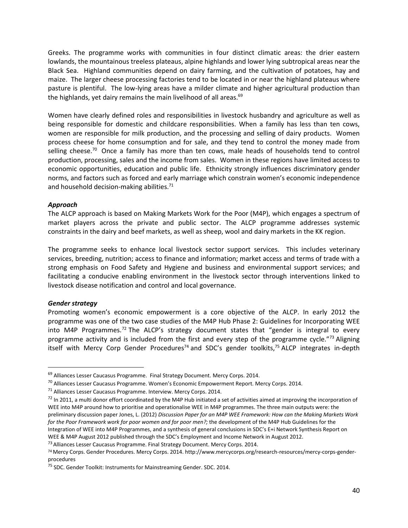Greeks. The programme works with communities in four distinct climatic areas: the drier eastern lowlands, the mountainous treeless plateaus, alpine highlands and lower lying subtropical areas near the Black Sea. Highland communities depend on dairy farming, and the cultivation of potatoes, hay and maize. The larger cheese processing factories tend to be located in or near the highland plateaus where pasture is plentiful. The low-lying areas have a milder climate and higher agricultural production than the highlands, yet dairy remains the main livelihood of all areas.<sup>69</sup>

Women have clearly defined roles and responsibilities in livestock husbandry and agriculture as well as being responsible for domestic and childcare responsibilities. When a family has less than ten cows, women are responsible for milk production, and the processing and selling of dairy products. Women process cheese for home consumption and for sale, and they tend to control the money made from selling cheese.<sup>70</sup> Once a family has more than ten cows, male heads of households tend to control production, processing, sales and the income from sales. Women in these regions have limited access to economic opportunities, education and public life. Ethnicity strongly influences discriminatory gender norms, and factors such as forced and early marriage which constrain women's economic independence and household decision-making abilities. $71$ 

#### *Approach*

The ALCP approach is based on Making Markets Work for the Poor (M4P), which engages a spectrum of market players across the private and public sector. The ALCP programme addresses systemic constraints in the dairy and beef markets, as well as sheep, wool and dairy markets in the KK region.

The programme seeks to enhance local livestock sector support services. This includes veterinary services, breeding, nutrition; access to finance and information; market access and terms of trade with a strong emphasis on Food Safety and Hygiene and business and environmental support services; and facilitating a conducive enabling environment in the livestock sector through interventions linked to livestock disease notification and control and local governance.

#### *Gender strategy*

Promoting women's economic empowerment is a core objective of the ALCP. In early 2012 the programme was one of the two case studies of the M4P Hub Phase 2: Guidelines for Incorporating WEE into M4P Programmes.<sup>72</sup> The ALCP's strategy document states that "gender is integral to every programme activity and is included from the first and every step of the programme cycle."<sup>73</sup> Aligning itself with Mercy Corp Gender Procedures<sup>74</sup> and SDC's gender toolkits,<sup>75</sup> ALCP integrates in-depth

<sup>&</sup>lt;sup>69</sup> Alliances Lesser Caucasus Programme. Final Strategy Document. Mercy Corps. 2014.

 $^{70}$  Alliances Lesser Caucasus Programme. Women's Economic Empowerment Report. Mercy Corps. 2014.

 $71$  Alliances Lesser Caucasus Programme. Interview. Mercy Corps. 2014.

 $72$  In 2011, a multi donor effort coordinated by the M4P Hub initiated a set of activities aimed at improving the incorporation of WEE into M4P around how to prioritise and operationalise WEE in M4P programmes. The three main outputs were: the preliminary discussion paper Jones, L. (2012) *Discussion Paper for an M4P WEE Framework: How can the Making Markets Work for the Poor Framework work for poor women and for poor men?;* the development of the M4P Hub Guidelines for the Integration of WEE into M4P Programmes, and a synthesis of general conclusions in SDC's E+i Network Synthesis Report on WEE & M4P August 2012 published through the SDC's Employment and Income Network in August 2012.

<sup>&</sup>lt;sup>73</sup> Alliances Lesser Caucasus Programme. Final Strategy Document. Mercy Corps. 2014.

<sup>74</sup>Mercy Corps. Gender Procedures. Mercy Corps. 2014. [http://www.mercycorps.org/research-resources/mercy-corps-gender](http://www.mercycorps.org/research-resources/mercy-corps-gender-procedures)[procedures](http://www.mercycorps.org/research-resources/mercy-corps-gender-procedures)

<sup>&</sup>lt;sup>75</sup> SDC. Gender Toolkit: Instruments for Mainstreaming Gender. SDC. 2014.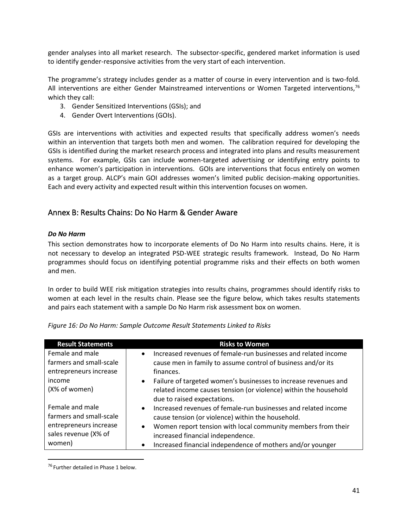gender analyses into all market research. The subsector-specific, gendered market information is used to identify gender-responsive activities from the very start of each intervention.

The programme's strategy includes gender as a matter of course in every intervention and is two-fold. All interventions are either Gender Mainstreamed interventions or Women Targeted interventions,<sup>76</sup> which they call:

- 3. Gender Sensitized Interventions (GSIs); and
- 4. Gender Overt Interventions (GOIs).

GSIs are interventions with activities and expected results that specifically address women's needs within an intervention that targets both men and women. The calibration required for developing the GSIs is identified during the market research process and integrated into plans and results measurement systems. For example, GSIs can include women-targeted advertising or identifying entry points to enhance women's participation in interventions. GOIs are interventions that focus entirely on women as a target group. ALCP's main GOI addresses women's limited public decision-making opportunities. Each and every activity and expected result within this intervention focuses on women.

## <span id="page-43-0"></span>Annex B: Results Chains: Do No Harm & Gender Aware

#### *Do No Harm*

This section demonstrates how to incorporate elements of Do No Harm into results chains. Here, it is not necessary to develop an integrated PSD-WEE strategic results framework. Instead, Do No Harm programmes should focus on identifying potential programme risks and their effects on both women and men.

In order to build WEE risk mitigation strategies into results chains, programmes should identify risks to women at each level in the results chain. Please see the figure below, which takes results statements and pairs each statement with a sample Do No Harm risk assessment box on women.

| <b>Result Statements</b>                                             | <b>Risks to Women</b>                                                                                                                                                                     |
|----------------------------------------------------------------------|-------------------------------------------------------------------------------------------------------------------------------------------------------------------------------------------|
| Female and male<br>farmers and small-scale<br>entrepreneurs increase | Increased revenues of female-run businesses and related income<br>$\bullet$<br>cause men in family to assume control of business and/or its<br>finances.                                  |
| income<br>(X% of women)                                              | Failure of targeted women's businesses to increase revenues and<br>$\bullet$<br>related income causes tension (or violence) within the household<br>due to raised expectations.           |
| Female and male<br>farmers and small-scale                           | Increased revenues of female-run businesses and related income<br>$\bullet$<br>cause tension (or violence) within the household.                                                          |
| entrepreneurs increase<br>sales revenue (X% of<br>women)             | Women report tension with local community members from their<br>$\bullet$<br>increased financial independence.<br>Increased financial independence of mothers and/or younger<br>$\bullet$ |

*Figure 16: Do No Harm: Sample Outcome Result Statements Linked to Risks*

<sup>&</sup>lt;sup>76</sup> Further detailed in Phase 1 below.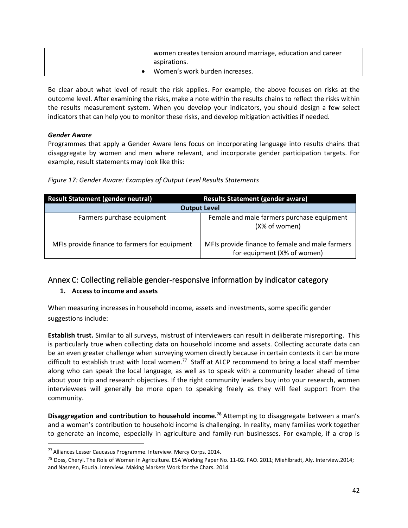|  | women creates tension around marriage, education and career |
|--|-------------------------------------------------------------|
|  | aspirations.                                                |
|  | Women's work burden increases.                              |

Be clear about what level of result the risk applies. For example, the above focuses on risks at the outcome level. After examining the risks, make a note within the results chains to reflect the risks within the results measurement system. When you develop your indicators, you should design a few select indicators that can help you to monitor these risks, and develop mitigation activities if needed.

#### *Gender Aware*

Programmes that apply a Gender Aware lens focus on incorporating language into results chains that disaggregate by women and men where relevant, and incorporate gender participation targets. For example, result statements may look like this:

|  |  |  |  | Figure 17: Gender Aware: Examples of Output Level Results Statements |
|--|--|--|--|----------------------------------------------------------------------|
|  |  |  |  |                                                                      |

| <b>Result Statement (gender neutral)</b>      | <b>Results Statement (gender aware)</b>                                        |  |  |  |  |  |
|-----------------------------------------------|--------------------------------------------------------------------------------|--|--|--|--|--|
| <b>Output Level</b>                           |                                                                                |  |  |  |  |  |
| Farmers purchase equipment                    | Female and male farmers purchase equipment<br>(X% of women)                    |  |  |  |  |  |
| MFIs provide finance to farmers for equipment | MFIs provide finance to female and male farmers<br>for equipment (X% of women) |  |  |  |  |  |

## <span id="page-44-0"></span>Annex C: Collecting reliable gender-responsive information by indicator category

## **1. Access to income and assets**

When measuring increases in household income, assets and investments, some specific gender suggestions include:

**Establish trust.** Similar to all surveys, mistrust of interviewers can result in deliberate misreporting. This is particularly true when collecting data on household income and assets. Collecting accurate data can be an even greater challenge when surveying women directly because in certain contexts it can be more difficult to establish trust with local women.<sup>77</sup> Staff at ALCP recommend to bring a local staff member along who can speak the local language, as well as to speak with a community leader ahead of time about your trip and research objectives. If the right community leaders buy into your research, women interviewees will generally be more open to speaking freely as they will feel support from the community.

**Disaggregation and contribution to household income.<sup>78</sup>** Attempting to disaggregate between a man's and a woman's contribution to household income is challenging. In reality, many families work together to generate an income, especially in agriculture and family-run businesses. For example, if a crop is

<sup>77</sup> Alliances Lesser Caucasus Programme. Interview. Mercy Corps. 2014.

<sup>&</sup>lt;sup>78</sup> Doss, Cheryl. The Role of Women in Agriculture. ESA Working Paper No. 11-02. FAO. 2011; Miehlbradt, Aly. Interview.2014; and Nasreen, Fouzia. Interview. Making Markets Work for the Chars. 2014.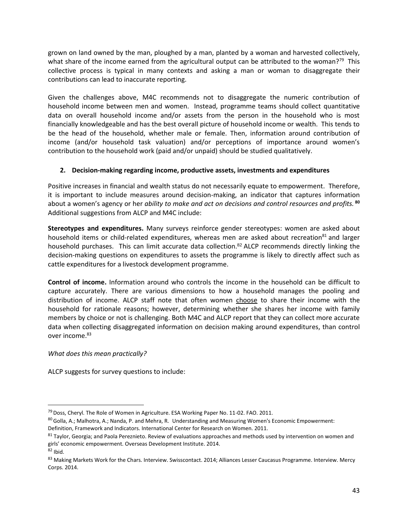grown on land owned by the man, ploughed by a man, planted by a woman and harvested collectively, what share of the income earned from the agricultural output can be attributed to the woman?<sup>79</sup> This collective process is typical in many contexts and asking a man or woman to disaggregate their contributions can lead to inaccurate reporting.

Given the challenges above, M4C recommends not to disaggregate the numeric contribution of household income between men and women. Instead, programme teams should collect quantitative data on overall household income and/or assets from the person in the household who is most financially knowledgeable and has the best overall picture of household income or wealth. This tends to be the head of the household, whether male or female. Then, information around contribution of income (and/or household task valuation) and/or perceptions of importance around women's contribution to the household work (paid and/or unpaid) should be studied qualitatively.

#### **2. Decision-making regarding income, productive assets, investments and expenditures**

Positive increases in financial and wealth status do not necessarily equate to empowerment. Therefore, it is important to include measures around decision-making, an indicator that captures information about a women's agency or her *ability to make and act on decisions and control resources and profits.* **<sup>80</sup>** Additional suggestions from ALCP and M4C include:

**Stereotypes and expenditures.** Many surveys reinforce gender stereotypes: women are asked about household items or child-related expenditures, whereas men are asked about recreation<sup>81</sup> and larger household purchases. This can limit accurate data collection.<sup>82</sup> ALCP recommends directly linking the decision-making questions on expenditures to assets the programme is likely to directly affect such as cattle expenditures for a livestock development programme.

**Control of income.** Information around who controls the income in the household can be difficult to capture accurately. There are various dimensions to how a household manages the pooling and distribution of income. ALCP staff note that often women choose to share their income with the household for rationale reasons; however, determining whether she shares her income with family members by choice or not is challenging. Both M4C and ALCP report that they can collect more accurate data when collecting disaggregated information on decision making around expenditures, than control over income.<sup>83</sup>

*What does this mean practically?*

ALCP suggests for survey questions to include:

<sup>&</sup>lt;sup>79</sup> Doss, Cheryl. The Role of Women in Agriculture. ESA Working Paper No. 11-02. FAO. 2011.

<sup>80</sup> Golla, A.; Malhotra, A.; Nanda, P. and Mehra, R. Understanding and Measuring Women's Economic Empowerment: Definition, Framework and Indicators. International Center for Research on Women. 2011.

<sup>81</sup> Taylor, Georgia; and Paola Pereznieto. Review of evaluations approaches and methods used by intervention on women and girls' economic empowerment. Overseas Development Institute. 2014.

 $82$  Ibid.

<sup>83</sup> Making Markets Work for the Chars. Interview. Swisscontact. 2014; Alliances Lesser Caucasus Programme. Interview. Mercy Corps. 2014.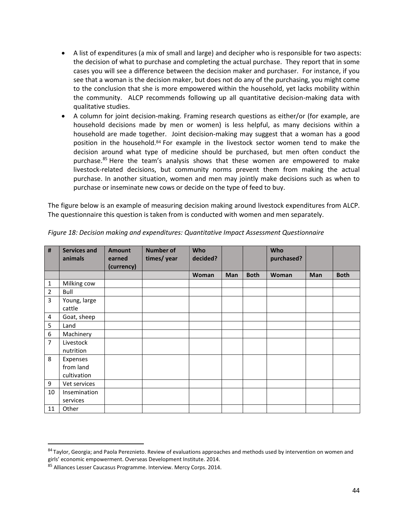- A list of expenditures (a mix of small and large) and decipher who is responsible for two aspects: the decision of what to purchase and completing the actual purchase. They report that in some cases you will see a difference between the decision maker and purchaser. For instance, if you see that a woman is the decision maker, but does not do any of the purchasing, you might come to the conclusion that she is more empowered within the household, yet lacks mobility within the community. ALCP recommends following up all quantitative decision-making data with qualitative studies.
- A column for joint decision-making. Framing research questions as either/or (for example, are household decisions made by men or women) is less helpful, as many decisions within a household are made together. Joint decision-making may suggest that a woman has a good position in the household.<sup>84</sup> For example in the livestock sector women tend to make the decision around what type of medicine should be purchased, but men often conduct the purchase.<sup>85</sup> Here the team's analysis shows that these women are empowered to make livestock-related decisions, but community norms prevent them from making the actual purchase. In another situation, women and men may jointly make decisions such as when to purchase or inseminate new cows or decide on the type of feed to buy.

The figure below is an example of measuring decision making around livestock expenditures from ALCP. The questionnaire this question is taken from is conducted with women and men separately.

| #              | <b>Services and</b><br>animals | <b>Amount</b><br>earned | <b>Number of</b><br>times/year | Who<br>decided? |            |             | Who<br>purchased? |            |             |
|----------------|--------------------------------|-------------------------|--------------------------------|-----------------|------------|-------------|-------------------|------------|-------------|
|                |                                | (currency)              |                                |                 |            |             |                   |            |             |
|                |                                |                         |                                | <b>Woman</b>    | <b>Man</b> | <b>Both</b> | <b>Woman</b>      | <b>Man</b> | <b>Both</b> |
| 1              | Milking cow                    |                         |                                |                 |            |             |                   |            |             |
| $\overline{2}$ | Bull                           |                         |                                |                 |            |             |                   |            |             |
| 3              | Young, large                   |                         |                                |                 |            |             |                   |            |             |
|                | cattle                         |                         |                                |                 |            |             |                   |            |             |
| 4              | Goat, sheep                    |                         |                                |                 |            |             |                   |            |             |
| 5              | Land                           |                         |                                |                 |            |             |                   |            |             |
| 6              | Machinery                      |                         |                                |                 |            |             |                   |            |             |
| 7              | Livestock                      |                         |                                |                 |            |             |                   |            |             |
|                | nutrition                      |                         |                                |                 |            |             |                   |            |             |
| 8              | Expenses                       |                         |                                |                 |            |             |                   |            |             |
|                | from land                      |                         |                                |                 |            |             |                   |            |             |
|                | cultivation                    |                         |                                |                 |            |             |                   |            |             |
| 9              | Vet services                   |                         |                                |                 |            |             |                   |            |             |
| 10             | Insemination                   |                         |                                |                 |            |             |                   |            |             |
|                | services                       |                         |                                |                 |            |             |                   |            |             |
| 11             | Other                          |                         |                                |                 |            |             |                   |            |             |

*Figure 18: Decision making and expenditures: Quantitative Impact Assessment Questionnaire*

<sup>84</sup> Taylor, Georgia; and Paola Pereznieto. Review of evaluations approaches and methods used by intervention on women and girls' economic empowerment. Overseas Development Institute. 2014.

<sup>85</sup> Alliances Lesser Caucasus Programme. Interview. Mercy Corps. 2014.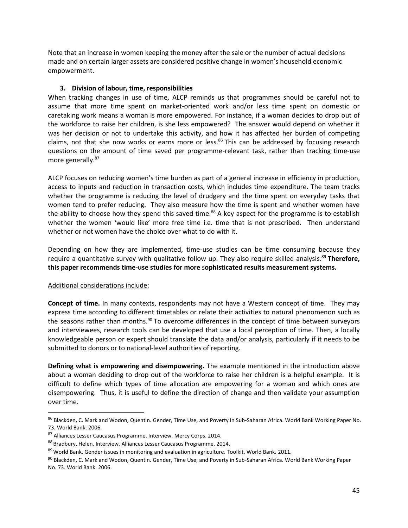Note that an increase in women keeping the money after the sale or the number of actual decisions made and on certain larger assets are considered positive change in women's household economic empowerment.

#### **3. Division of labour, time, responsibilities**

When tracking changes in use of time, ALCP reminds us that programmes should be careful not to assume that more time spent on market-oriented work and/or less time spent on domestic or caretaking work means a woman is more empowered. For instance, if a woman decides to drop out of the workforce to raise her children, is she less empowered? The answer would depend on whether it was her decision or not to undertake this activity, and how it has affected her burden of competing claims, not that she now works or earns more or less.<sup>86</sup> This can be addressed by focusing research questions on the amount of time saved per programme-relevant task, rather than tracking time-use more generally.<sup>87</sup>

ALCP focuses on reducing women's time burden as part of a general increase in efficiency in production, access to inputs and reduction in transaction costs, which includes time expenditure. The team tracks whether the programme is reducing the level of drudgery and the time spent on everyday tasks that women tend to prefer reducing. They also measure how the time is spent and whether women have the ability to choose how they spend this saved time.<sup>88</sup> A key aspect for the programme is to establish whether the women 'would like' more free time i.e. time that is not prescribed. Then understand whether or not women have the choice over what to do with it.

Depending on how they are implemented, time-use studies can be time consuming because they require a quantitative survey with qualitative follow up. They also require skilled analysis.<sup>89</sup> Therefore, **this paper recommends time-use studies for more** s**ophisticated results measurement systems.** 

## Additional considerations include:

**Concept of time.** In many contexts, respondents may not have a Western concept of time. They may express time according to different timetables or relate their activities to natural phenomenon such as the seasons rather than months.<sup>90</sup> To overcome differences in the concept of time between surveyors and interviewees, research tools can be developed that use a local perception of time. Then, a locally knowledgeable person or expert should translate the data and/or analysis, particularly if it needs to be submitted to donors or to national-level authorities of reporting.

**Defining what is empowering and disempowering.** The example mentioned in the introduction above about a woman deciding to drop out of the workforce to raise her children is a helpful example. It is difficult to define which types of time allocation are empowering for a woman and which ones are disempowering. Thus, it is useful to define the direction of change and then validate your assumption over time.

<sup>86</sup> Blackden, C. Mark and Wodon, Quentin. Gender, Time Use, and Poverty in Sub-Saharan Africa. World Bank Working Paper No. 73. World Bank. 2006.

<sup>87</sup> Alliances Lesser Caucasus Programme. Interview. Mercy Corps. 2014.

<sup>88</sup> Bradbury, Helen. Interview. Alliances Lesser Caucasus Programme. 2014.

<sup>&</sup>lt;sup>89</sup> World Bank. Gender issues in monitoring and evaluation in agriculture. Toolkit. World Bank. 2011.

<sup>90</sup> Blackden, C. Mark and Wodon, Quentin. Gender, Time Use, and Poverty in Sub-Saharan Africa. World Bank Working Paper No. 73. World Bank. 2006.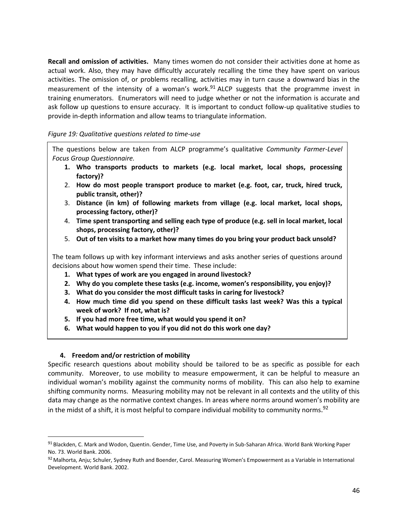**Recall and omission of activities.** Many times women do not consider their activities done at home as actual work. Also, they may have difficultly accurately recalling the time they have spent on various activities. The omission of, or problems recalling, activities may in turn cause a downward bias in the measurement of the intensity of a woman's work.<sup>91</sup> ALCP suggests that the programme invest in training enumerators. Enumerators will need to judge whether or not the information is accurate and ask follow up questions to ensure accuracy. It is important to conduct follow-up qualitative studies to provide in-depth information and allow teams to triangulate information.

#### *Figure 19: Qualitative questions related to time-use*

The questions below are taken from ALCP programme's qualitative *Community Farmer-Level Focus Group Questionnaire.*

- **1. Who transports products to markets (e.g. local market, local shops, processing factory)?**
- 2. **How do most people transport produce to market (e.g. foot, car, truck, hired truck, public transit, other)?**
- 3. **Distance (in km) of following markets from village (e.g. local market, local shops, processing factory, other)?**
- 4. **Time spent transporting and selling each type of produce (e.g. sell in local market, local shops, processing factory, other)?**
- 5. **Out of ten visits to a market how many times do you bring your product back unsold?**

The team follows up with key informant interviews and asks another series of questions around decisions about how women spend their time. These include:

- **1. What types of work are you engaged in around livestock?**
- **2. Why do you complete these tasks (e.g. income, women's responsibility, you enjoy)?**
- **3. What do you consider the most difficult tasks in caring for livestock?**
- **4. How much time did you spend on these difficult tasks last week? Was this a typical week of work? If not, what is?**
- **5. If you had more free time, what would you spend it on?**
- **6. What would happen to you if you did not do this work one day?**

## **4. Freedom and/or restriction of mobility**

Specific research questions about mobility should be tailored to be as specific as possible for each community. Moreover, to use mobility to measure empowerment, it can be helpful to measure an individual woman's mobility against the community norms of mobility. This can also help to examine shifting community norms. Measuring mobility may not be relevant in all contexts and the utility of this data may change as the normative context changes. In areas where norms around women's mobility are in the midst of a shift, it is most helpful to compare individual mobility to community norms.<sup>92</sup>

<sup>91</sup> Blackden, C. Mark and Wodon, Quentin. Gender, Time Use, and Poverty in Sub-Saharan Africa. World Bank Working Paper No. 73. World Bank. 2006.

<sup>92</sup> Malhorta, Anju; Schuler, Sydney Ruth and Boender, Carol. Measuring Women's Empowerment as a Variable in International Development. World Bank. 2002.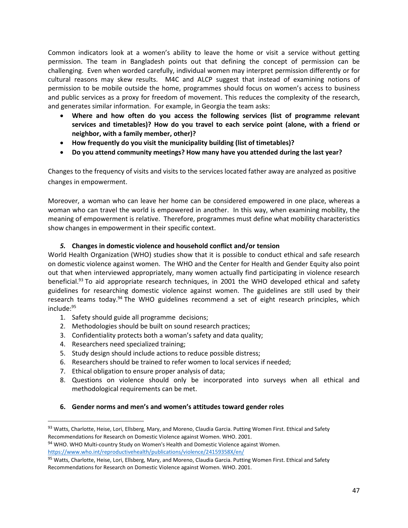Common indicators look at a women's ability to leave the home or visit a service without getting permission. The team in Bangladesh points out that defining the concept of permission can be challenging. Even when worded carefully, individual women may interpret permission differently or for cultural reasons may skew results. M4C and ALCP suggest that instead of examining notions of permission to be mobile outside the home, programmes should focus on women's access to business and public services as a proxy for freedom of movement. This reduces the complexity of the research, and generates similar information. For example, in Georgia the team asks:

- **Where and how often do you access the following services (list of programme relevant services and timetables)? How do you travel to each service point (alone, with a friend or neighbor, with a family member, other)?**
- **How frequently do you visit the municipality building (list of timetables)?**
- **Do you attend community meetings? How many have you attended during the last year?**

Changes to the frequency of visits and visits to the services located father away are analyzed as positive changes in empowerment.

Moreover, a woman who can leave her home can be considered empowered in one place, whereas a woman who can travel the world is empowered in another. In this way, when examining mobility, the meaning of empowerment is relative. Therefore, programmes must define what mobility characteristics show changes in empowerment in their specific context.

## *5.* **Changes in domestic violence and household conflict and/or tension**

World Health Organization (WHO) studies show that it is possible to conduct ethical and safe research on domestic violence against women. The WHO and the Center for Health and Gender Equity also point out that when interviewed appropriately, many women actually find participating in violence research beneficial.<sup>93</sup> To aid appropriate research techniques, in 2001 the WHO developed ethical and safety guidelines for researching domestic violence against women. The guidelines are still used by their research teams today.<sup>94</sup> The WHO guidelines recommend a set of eight research principles, which include:<sup>95</sup>

- 1. Safety should guide all programme decisions;
- 2. Methodologies should be built on sound research practices;
- 3. Confidentiality protects both a woman's safety and data quality;
- 4. Researchers need specialized training;
- 5. Study design should include actions to reduce possible distress;
- 6. Researchers should be trained to refer women to local services if needed;
- 7. Ethical obligation to ensure proper analysis of data;
- 8. Questions on violence should only be incorporated into surveys when all ethical and methodological requirements can be met.

#### **6. Gender norms and men's and women's attitudes toward gender roles**

<sup>93</sup> Watts, Charlotte, Heise, Lori, Ellsberg, Mary, and Moreno, Claudia Garcia. Putting Women First. Ethical and Safety Recommendations for Research on Domestic Violence against Women. WHO. 2001.

<sup>94</sup> WHO. WHO Multi-country Study on Women's Health and Domestic Violence against Women. <https://www.who.int/reproductivehealth/publications/violence/24159358X/en/>

<sup>95</sup> Watts, Charlotte, Heise, Lori, Ellsberg, Mary, and Moreno, Claudia Garcia. Putting Women First. Ethical and Safety Recommendations for Research on Domestic Violence against Women. WHO. 2001.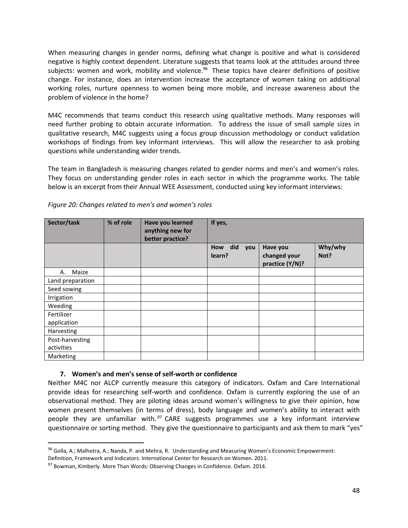When measuring changes in gender norms, defining what change is positive and what is considered negative is highly context dependent. Literature suggests that teams look at the attitudes around three subjects: women and work, mobility and violence.<sup>96</sup> These topics have clearer definitions of positive change. For instance, does an intervention increase the acceptance of women taking on additional working roles, nurture openness to women being more mobile, and increase awareness about the problem of violence in the home?

M4C recommends that teams conduct this research using qualitative methods. Many responses will need further probing to obtain accurate information. To address the issue of small sample sizes in qualitative research, M4C suggests using a focus group discussion methodology or conduct validation workshops of findings from key informant interviews. This will allow the researcher to ask probing questions while understanding wider trends.

The team in Bangladesh is measuring changes related to gender norms and men's and women's roles. They focus on understanding gender roles in each sector in which the programme works. The table below is an excerpt from their Annual WEE Assessment, conducted using key informant interviews:

| Sector/task      | % of role | Have you learned<br>anything new for<br>better practice? | If yes,                     |                                             |                 |
|------------------|-----------|----------------------------------------------------------|-----------------------------|---------------------------------------------|-----------------|
|                  |           |                                                          | did<br>How<br>you<br>learn? | Have you<br>changed your<br>practice (Y/N)? | Why/why<br>Not? |
| Maize<br>А.      |           |                                                          |                             |                                             |                 |
| Land preparation |           |                                                          |                             |                                             |                 |
| Seed sowing      |           |                                                          |                             |                                             |                 |
| Irrigation       |           |                                                          |                             |                                             |                 |
| Weeding          |           |                                                          |                             |                                             |                 |
| Fertilizer       |           |                                                          |                             |                                             |                 |
| application      |           |                                                          |                             |                                             |                 |
| Harvesting       |           |                                                          |                             |                                             |                 |
| Post-harvesting  |           |                                                          |                             |                                             |                 |
| activities       |           |                                                          |                             |                                             |                 |
| Marketing        |           |                                                          |                             |                                             |                 |

*Figure 20: Changes related to men's and women's roles*

## **7. Women's and men's sense of self-worth or confidence**

Neither M4C nor ALCP currently measure this category of indicators. Oxfam and Care International provide ideas for researching self-worth and confidence. Oxfam is currently exploring the use of an observational method. They are piloting ideas around women's willingness to give their opinion, how women present themselves (in terms of dress), body language and women's ability to interact with people they are unfamiliar with.<sup>97</sup> CARE suggests programmes use a key informant interview questionnaire or sorting method. They give the questionnaire to participants and ask them to mark "yes"

<sup>96</sup> Golla, A.; Malhotra, A.; Nanda, P. and Mehra, R. Understanding and Measuring Women's Economic Empowerment:

Definition, Framework and Indicators. International Center for Research on Women. 2011.

<sup>97</sup> Bowman, Kimberly. More Than Words: Observing Changes in Confidence. Oxfam. 2014.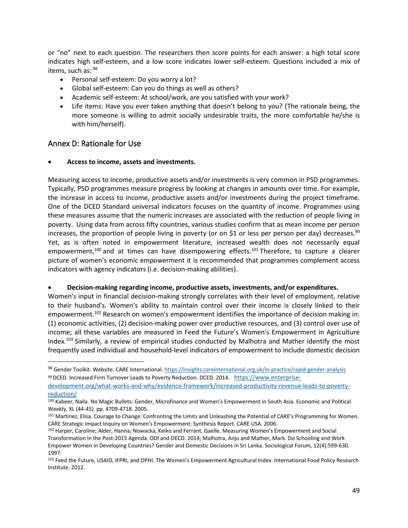or "no" next to each question. The researchers then score points for each answer: a high total score indicates high self-esteem, and a low score indicates lower self-esteem. Questions included a mix of items, such as: <sup>98</sup>

- Personal self-esteem: Do you worry a lot?
- Global self-esteem: Can you do things as well as others?
- Academic self-esteem: At school/work, are you satisfied with your work?
- Life items: Have you ever taken anything that doesn't belong to you? (The rationale being, the more someone is willing to admit socially undesirable traits, the more comfortable he/she is with him/herself).

## <span id="page-51-0"></span>Annex D: Rationale for Use

#### • **Access to income, assets and investments.**

Measuring access to income, productive assets and/or investments is very common in PSD programmes. Typically, PSD programmes measure progress by looking at changes in amounts over time. For example, the increase in access to income, productive assets and/or investments during the project timeframe. One of the DCED Standard universal indicators focuses on the quantity of income. Programmes using these measures assume that the numeric increases are associated with the reduction of people living in poverty. Using data from across fifty countries, various studies confirm that as mean income per person increases, the proportion of people living in poverty (or on \$1 or less per person per day) decreases.<sup>99</sup> Yet, as is often noted in empowerment literature, increased wealth does not necessarily equal empowerment,<sup>100</sup> and at times can have disempowering effects.<sup>101</sup> Therefore, to capture a clearer picture of women's economic empowerment it is recommended that programmes complement access indicators with agency indicators (i.e. decision-making abilities).

#### • **Decision-making regarding income, productive assets, investments, and/or expenditures.**

Women's input in financial decision-making strongly correlates with their level of employment, relative to their husband's. Women's ability to maintain control over their income is closely linked to their empowerment.<sup>102</sup> Research on women's empowerment identifies the importance of decision making in: (1) economic activities, (2) decision-making power over productive resources, and (3) control over use of income; all these variables are measured in Feed the Future's Women's Empowerment in Agriculture Index.<sup>103</sup> Similarly, a review of empirical studies conducted by Malhotra and Mather identify the most frequently used individual and household-level indicators of empowerment to include domestic decision

<sup>98</sup> Gender Toolkit. Website. CARE International.<https://insights.careinternational.org.uk/in-practice/rapid-gender-analysis> 99 DCED. Increased Firm Turnover Leads to Poverty Reduction. DCED. 2014. [https://www.enterprise-](https://www.enterprise-development.org/what-works-and-why/evidence-framework/increased-productivity-revenue-leads-to-poverty-reduction/)

[development.org/what-works-and-why/evidence-framework/increased-productivity-revenue-leads-to-poverty](https://www.enterprise-development.org/what-works-and-why/evidence-framework/increased-productivity-revenue-leads-to-poverty-reduction/)[reduction/](https://www.enterprise-development.org/what-works-and-why/evidence-framework/increased-productivity-revenue-leads-to-poverty-reduction/)

<sup>100</sup> Kabeer, Naila. No Magic Bullets: Gender, Microfinance and Women's Empowerment in South Asia. Economic and Political Weekly, XL (44-45). pp. 4709-4718. 2005.

<sup>101</sup> Martinez, Elisa. Courage to Change: Confronting the Limits and Unleashing the Potential of CARE's Programming for Women. CARE Strategic Impact Inquiry on Women's Empowerment: Synthesis Report. CARE USA. 2006.

<sup>102</sup> Harper, Caroline; Alder, Hanna; Nowacka, Keiko and Ferrant, Gaelle. Measuring Women's Empowerment and Social Transformation in the Post-2015 Agenda. ODI and OECD. 2014; Malhotra, Anju and Mather, Mark. Do Schooling and Work Empower Women in Developing Countries? Gender and Domestic Decisions in Sri Lanka. Sociological Forum, 12(4):599-630. 1997.

<sup>103</sup> Feed the Future, USAID, IFPRI, and OPHI. The Women's Empowerment Agricultural Index. International Food Policy Research Institute. 2012.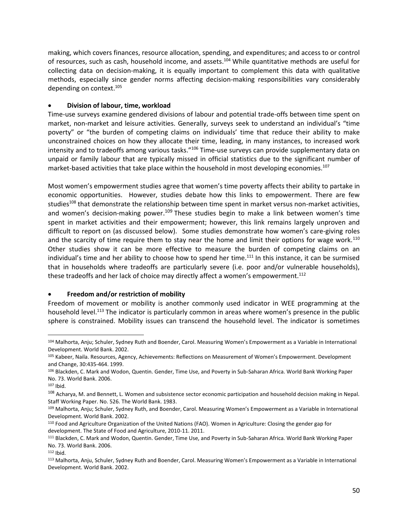making, which covers finances, resource allocation, spending, and expenditures; and access to or control of resources, such as cash, household income, and assets.<sup>104</sup> While quantitative methods are useful for collecting data on decision-making, it is equally important to complement this data with qualitative methods, especially since gender norms affecting decision-making responsibilities vary considerably depending on context.<sup>105</sup>

#### • **Division of labour, time, workload**

Time-use surveys examine gendered divisions of labour and potential trade-offs between time spent on market, non-market and leisure activities. Generally, surveys seek to understand an individual's "time poverty" or "the burden of competing claims on individuals' time that reduce their ability to make unconstrained choices on how they allocate their time, leading, in many instances, to increased work intensity and to tradeoffs among various tasks."<sup>106</sup> Time-use surveys can provide supplementary data on unpaid or family labour that are typically missed in official statistics due to the significant number of market-based activities that take place within the household in most developing economies.<sup>107</sup>

Most women's empowerment studies agree that women's time poverty affects their ability to partake in economic opportunities. However, studies debate how this links to empowerment. There are few studies<sup>108</sup> that demonstrate the relationship between time spent in market versus non-market activities, and women's decision-making power.<sup>109</sup> These studies begin to make a link between women's time spent in market activities and their empowerment; however, this link remains largely unproven and difficult to report on (as discussed below). Some studies demonstrate how women's care-giving roles and the scarcity of time require them to stay near the home and limit their options for wage work.<sup>110</sup> Other studies show it can be more effective to measure the burden of competing claims on an individual's time and her ability to choose how to spend her time.<sup>111</sup> In this instance, it can be surmised that in households where tradeoffs are particularly severe (i.e. poor and/or vulnerable households), these tradeoffs and her lack of choice may directly affect a women's empowerment.<sup>112</sup>

#### • **Freedom and/or restriction of mobility**

Freedom of movement or mobility is another commonly used indicator in WEE programming at the household level.<sup>113</sup> The indicator is particularly common in areas where women's presence in the public sphere is constrained. Mobility issues can transcend the household level. The indicator is sometimes

<sup>104</sup> Malhorta, Anju; Schuler, Sydney Ruth and Boender, Carol. Measuring Women's Empowerment as a Variable in International Development. World Bank. 2002.

<sup>105</sup> Kabeer, Naila. Resources, Agency, Achievements: Reflections on Measurement of Women's Empowerment. Development and Change, 30:435-464. 1999.

<sup>106</sup> Blackden, C. Mark and Wodon, Quentin. Gender, Time Use, and Poverty in Sub-Saharan Africa. World Bank Working Paper No. 73. World Bank. 2006.

<sup>107</sup> Ibid.

<sup>&</sup>lt;sup>108</sup> Acharya, M. and Bennett, L. Women and subsistence sector economic participation and household decision making in Nepal. Staff Working Paper. No. 526. The World Bank. 1983.

<sup>109</sup> Malhorta, Anju; Schuler, Sydney Ruth, and Boender, Carol. Measuring Women's Empowerment as a Variable in International Development. World Bank. 2002.

<sup>110</sup> Food and Agriculture Organization of the United Nations (FAO). Women in Agriculture: Closing the gender gap for development. The State of Food and Agriculture, 2010-11. 2011.

<sup>111</sup> Blackden, C. Mark and Wodon, Quentin. Gender, Time Use, and Poverty in Sub-Saharan Africa. World Bank Working Paper No. 73. World Bank. 2006.

<sup>112</sup> Ibid.

<sup>113</sup> Malhorta, Anju, Schuler, Sydney Ruth and Boender, Carol. Measuring Women's Empowerment as a Variable in International Development. World Bank. 2002.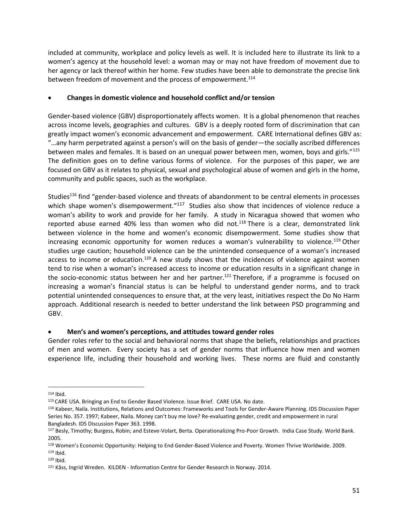included at community, workplace and policy levels as well. It is included here to illustrate its link to a women's agency at the household level: a woman may or may not have freedom of movement due to her agency or lack thereof within her home. Few studies have been able to demonstrate the precise link between freedom of movement and the process of empowerment.<sup>114</sup>

## • **Changes in domestic violence and household conflict and/or tension**

Gender-based violence (GBV) disproportionately affects women. It is a global phenomenon that reaches across income levels, geographies and cultures. GBV is a deeply rooted form of discrimination that can greatly impact women's economic advancement and empowerment. CARE International defines GBV as: "…any harm perpetrated against a person's will on the basis of gender—the socially ascribed differences between males and females. It is based on an unequal power between men, women, boys and girls."<sup>115</sup> The definition goes on to define various forms of violence. For the purposes of this paper, we are focused on GBV as it relates to physical, sexual and psychological abuse of women and girls in the home, community and public spaces, such as the workplace.

Studies<sup>116</sup> find "gender-based violence and threats of abandonment to be central elements in processes which shape women's disempowerment."<sup>117</sup> Studies also show that incidences of violence reduce a woman's ability to work and provide for her family. A study in Nicaragua showed that women who reported abuse earned 40% less than women who did not.<sup>118</sup> There is a clear, demonstrated link between violence in the home and women's economic disempowerment. Some studies show that increasing economic opportunity for women reduces a woman's vulnerability to violence.<sup>119</sup> Other studies urge caution; household violence can be the unintended consequence of a woman's increased access to income or education.<sup>120</sup> A new study shows that the incidences of violence against women tend to rise when a woman's increased access to income or education results in a significant change in the socio-economic status between her and her partner.<sup>121</sup> Therefore, if a programme is focused on increasing a woman's financial status is can be helpful to understand gender norms, and to track potential unintended consequences to ensure that, at the very least, initiatives respect the Do No Harm approach. Additional research is needed to better understand the link between PSD programming and GBV.

## • **Men's and women's perceptions, and attitudes toward gender roles**

Gender roles refer to the social and behavioral norms that shape the beliefs, relationships and practices of men and women. Every society has a set of gender norms that influence how men and women experience life, including their household and working lives. These norms are fluid and constantly

<sup>114</sup> Ibid.

<sup>115</sup> CARE USA. Bringing an End to Gender Based Violence. Issue Brief. CARE USA. No date.

<sup>116</sup> Kabeer, Naila. Institutions, Relations and Outcomes: Frameworks and Tools for Gender-Aware Planning. IDS Discussion Paper Series No. 357. 1997; Kabeer, Naila. Money can't buy me love? Re-evaluating gender, credit and empowerment in rural Bangladesh. IDS Discussion Paper 363. 1998.

<sup>117</sup> Besly, Timothy; Burgess, Robin; and Esteve-Volart, Berta. Operationalizing Pro-Poor Growth. India Case Study. World Bank. 2005.

<sup>118</sup> Women's Economic Opportunity: Helping to End Gender-Based Violence and Poverty. Women Thrive Worldwide. 2009.

<sup>119</sup> Ibid. <sup>120</sup> Ibid.

<sup>121</sup> Kåss, Ingrid Wreden. KILDEN - [Information Centre for Gender Research in Norway.](http://eng.kilden.forskningsradet.no/) 2014.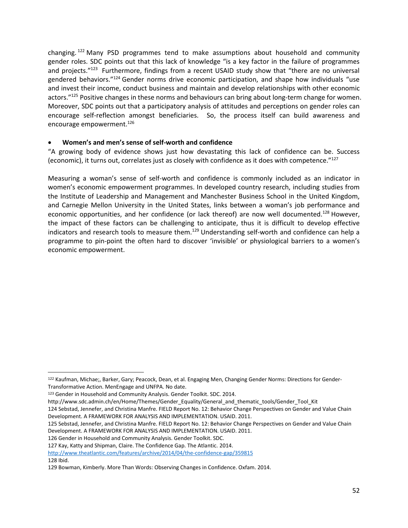changing.  $122$  Many PSD programmes tend to make assumptions about household and community gender roles. SDC points out that this lack of knowledge "is a key factor in the failure of programmes and projects."<sup>123</sup> Furthermore, findings from a recent USAID study show that "there are no universal gendered behaviors."<sup>124</sup> Gender norms drive economic participation, and shape how individuals "use and invest their income, conduct business and maintain and develop relationships with other economic actors."<sup>125</sup> Positive changes in these norms and behaviours can bring about long-term change for women. Moreover, SDC points out that a participatory analysis of attitudes and perceptions on gender roles can encourage self-reflection amongst beneficiaries. So, the process itself can build awareness and encourage empowerment.<sup>126</sup>

#### • **Women's and men's sense of self-worth and confidence**

"A growing body of evidence shows just how devastating this lack of confidence can be. Success (economic), it turns out, correlates just as closely with confidence as it does with competence."<sup>127</sup>

Measuring a woman's sense of self-worth and confidence is commonly included as an indicator in women's economic empowerment programmes. In developed country research, including studies from the Institute of Leadership and Management and Manchester Business School in the United Kingdom, and Carnegie Mellon University in the United States, links between a woman's job performance and economic opportunities, and her confidence (or lack thereof) are now well documented.<sup>128</sup> However, the impact of these factors can be challenging to anticipate, thus it is difficult to develop effective indicators and research tools to measure them.<sup>129</sup> Understanding self-worth and confidence can help a programme to pin-point the often hard to discover 'invisible' or physiological barriers to a women's economic empowerment.

126 Gender in Household and Community Analysis. Gender Toolkit. SDC.

<sup>122</sup> Kaufman, Michae;, Barker, Gary; Peacock, Dean, et al. Engaging Men, Changing Gender Norms: Directions for Gender-Transformative Action. MenEngage and UNFPA. No date.

<sup>123</sup> Gender in Household and Community Analysis. Gender Toolkit. SDC. 2014.

http://www.sdc.admin.ch/en/Home/Themes/Gender\_Equality/General\_and\_thematic\_tools/Gender\_Tool\_Kit

<sup>124</sup> Sebstad, Jennefer, and Christina Manfre. FIELD Report No. 12: Behavior Change Perspectives on Gender and Value Chain Development. A FRAMEWORK FOR ANALYSIS AND IMPLEMENTATION. USAID. 2011.

<sup>125</sup> Sebstad, Jennefer, and Christina Manfre. FIELD Report No. 12: Behavior Change Perspectives on Gender and Value Chain Development. A FRAMEWORK FOR ANALYSIS AND IMPLEMENTATION. USAID. 2011.

<sup>127</sup> Kay, Katty and Shipman, Claire. The Confidence Gap. The Atlantic. 2014.

<http://www.theatlantic.com/features/archive/2014/04/the-confidence-gap/359815> 128 Ibid.

<sup>129</sup> Bowman, Kimberly. More Than Words: Observing Changes in Confidence. Oxfam. 2014.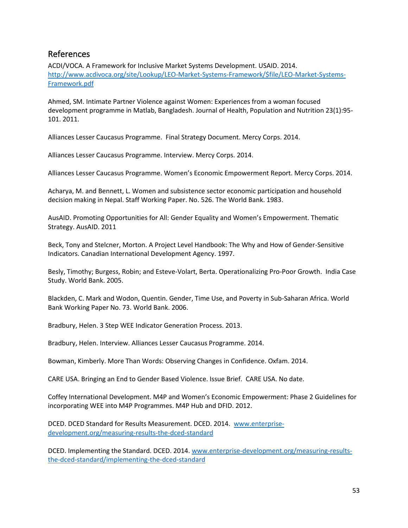## <span id="page-55-0"></span>References

ACDI/VOCA. A Framework for Inclusive Market Systems Development. USAID. 2014. [http://www.acdivoca.org/site/Lookup/LEO-Market-Systems-Framework/\\$file/LEO-Market-Systems-](http://www.acdivoca.org/site/Lookup/LEO-Market-Systems-Framework/$file/LEO-Market-Systems-Framework.pdf)[Framework.pdf](http://www.acdivoca.org/site/Lookup/LEO-Market-Systems-Framework/$file/LEO-Market-Systems-Framework.pdf)

Ahmed, SM. Intimate Partner Violence against Women: Experiences from a woman focused development programme in Matlab, Bangladesh. Journal of Health, Population and Nutrition 23(1):95- 101. 2011.

Alliances Lesser Caucasus Programme. Final Strategy Document. Mercy Corps. 2014.

Alliances Lesser Caucasus Programme. Interview. Mercy Corps. 2014.

Alliances Lesser Caucasus Programme. Women's Economic Empowerment Report. Mercy Corps. 2014.

Acharya, M. and Bennett, L. Women and subsistence sector economic participation and household decision making in Nepal. Staff Working Paper. No. 526. The World Bank. 1983.

AusAID. Promoting Opportunities for All: Gender Equality and Women's Empowerment. Thematic Strategy. AusAID. 2011

Beck, Tony and Stelcner, Morton. A Project Level Handbook: The Why and How of Gender-Sensitive Indicators. Canadian International Development Agency. 1997.

Besly, Timothy; Burgess, Robin; and Esteve-Volart, Berta. Operationalizing Pro-Poor Growth. India Case Study. World Bank. 2005.

Blackden, C. Mark and Wodon, Quentin. Gender, Time Use, and Poverty in Sub-Saharan Africa. World Bank Working Paper No. 73. World Bank. 2006.

Bradbury, Helen. 3 Step WEE Indicator Generation Process. 2013.

Bradbury, Helen. Interview. Alliances Lesser Caucasus Programme. 2014.

Bowman, Kimberly. More Than Words: Observing Changes in Confidence. Oxfam. 2014.

CARE USA. Bringing an End to Gender Based Violence. Issue Brief. CARE USA. No date.

Coffey International Development. M4P and Women's Economic Empowerment: Phase 2 Guidelines for incorporating WEE into M4P Programmes. M4P Hub and DFID. 2012.

DCED. DCED Standard for Results Measurement. DCED. 2014. [www.enterprise](http://www.enterprise-development.org/measuring-results-the-dced-standard)[development.org/measuring-results-the-dced-standard](http://www.enterprise-development.org/measuring-results-the-dced-standard)

DCED. Implementing the Standard. DCED. 2014. [www.enterprise-development.org/measuring-results](http://www.enterprise-development.org/measuring-results-the-dced-standard/implementing-the-dced-standard)[the-dced-standard/implementing-the-dced-standard](http://www.enterprise-development.org/measuring-results-the-dced-standard/implementing-the-dced-standard)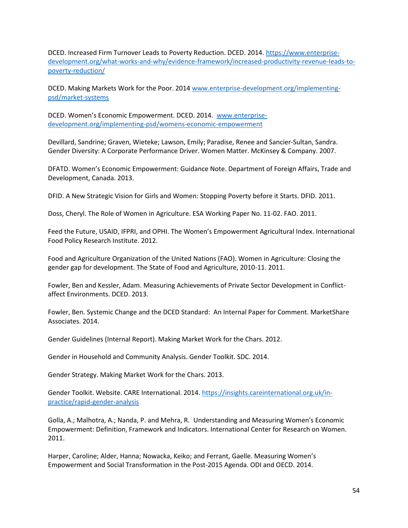DCED. Increased Firm Turnover Leads to Poverty Reduction. DCED. 2014. [https://www.enterprise](https://www.enterprise-development.org/what-works-and-why/evidence-framework/increased-productivity-revenue-leads-to-poverty-reduction/)[development.org/what-works-and-why/evidence-framework/increased-productivity-revenue-leads-to](https://www.enterprise-development.org/what-works-and-why/evidence-framework/increased-productivity-revenue-leads-to-poverty-reduction/)[poverty-reduction/](https://www.enterprise-development.org/what-works-and-why/evidence-framework/increased-productivity-revenue-leads-to-poverty-reduction/)

DCED. Making Markets Work for the Poor. 2014 [www.enterprise-development.org/implementing](http://www.enterprise-development.org/implementing-psd/market-systems)[psd/market-systems](http://www.enterprise-development.org/implementing-psd/market-systems)

DCED. Women's Economic Empowerment. DCED. 2014. [www.enterprise](http://www.enterprise-development.org/implementing-psd/womens-economic-empowerment)[development.org/implementing-psd/womens-economic-empowerment](http://www.enterprise-development.org/implementing-psd/womens-economic-empowerment)

Devillard, Sandrine; Graven, Wieteke; Lawson, Emily; Paradise, Renee and Sancier-Sultan, Sandra. Gender Diversity: A Corporate Performance Driver. Women Matter. McKinsey & Company. 2007.

DFATD. Women's Economic Empowerment: Guidance Note. Department of Foreign Affairs, Trade and Development, Canada. 2013.

DFID. A New Strategic Vision for Girls and Women: Stopping Poverty before it Starts. DFID. 2011.

Doss, Cheryl. The Role of Women in Agriculture. ESA Working Paper No. 11-02. FAO. 2011.

Feed the Future, USAID, IFPRI, and OPHI. The Women's Empowerment Agricultural Index. International Food Policy Research Institute. 2012.

Food and Agriculture Organization of the United Nations (FAO). Women in Agriculture: Closing the gender gap for development. The State of Food and Agriculture, 2010-11. 2011.

Fowler, Ben and Kessler, Adam. Measuring Achievements of Private Sector Development in Conflictaffect Environments. DCED. 2013.

Fowler, Ben. Systemic Change and the DCED Standard: An Internal Paper for Comment. MarketShare Associates. 2014.

Gender Guidelines (Internal Report). Making Market Work for the Chars. 2012.

Gender in Household and Community Analysis. Gender Toolkit. SDC. 2014.

Gender Strategy. Making Market Work for the Chars. 2013.

Gender Toolkit. Website. CARE International. 2014. [https://insights.careinternational.org.uk/in](https://insights.careinternational.org.uk/in-practice/rapid-gender-analysis)[practice/rapid-gender-analysis](https://insights.careinternational.org.uk/in-practice/rapid-gender-analysis)

Golla, A.; Malhotra, A.; Nanda, P. and Mehra, R. Understanding and Measuring Women's Economic Empowerment: Definition, Framework and Indicators. International Center for Research on Women. 2011.

Harper, Caroline; Alder, Hanna; Nowacka, Keiko; and Ferrant, Gaelle. Measuring Women's Empowerment and Social Transformation in the Post-2015 Agenda. ODI and OECD. 2014.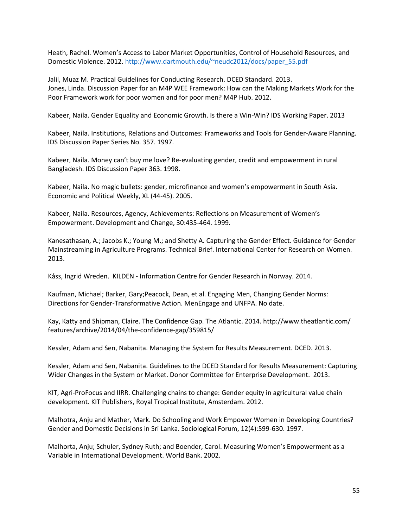Heath, Rachel. Women's Access to Labor Market Opportunities, Control of Household Resources, and Domestic Violence. 2012. [http://www.dartmouth.edu/~neudc2012/docs/paper\\_55.pdf](http://www.dartmouth.edu/~neudc2012/docs/paper_55.pdf)

Jalil, Muaz M. Practical Guidelines for Conducting Research. DCED Standard. 2013. Jones, Linda. Discussion Paper for an M4P WEE Framework: How can the Making Markets Work for the Poor Framework work for poor women and for poor men? M4P Hub. 2012.

Kabeer, Naila. Gender Equality and Economic Growth. Is there a Win-Win? IDS Working Paper. 2013

Kabeer, Naila. Institutions, Relations and Outcomes: Frameworks and Tools for Gender-Aware Planning. IDS Discussion Paper Series No. 357. 1997.

Kabeer, Naila. Money can't buy me love? Re-evaluating gender, credit and empowerment in rural Bangladesh. IDS Discussion Paper 363. 1998.

Kabeer, Naila. No magic bullets: gender, microfinance and women's empowerment in South Asia. Economic and Political Weekly, XL (44-45). 2005.

Kabeer, Naila. Resources, Agency, Achievements: Reflections on Measurement of Women's Empowerment. Development and Change, 30:435-464. 1999.

Kanesathasan, A.; Jacobs K.; Young M.; and Shetty A. Capturing the Gender Effect. Guidance for Gender Mainstreaming in Agriculture Programs. Technical Brief. International Center for Research on Women. 2013.

Kåss, Ingrid Wreden. KILDEN - Information Centre for Gender Research in Norway. 2014.

Kaufman, Michael; Barker, Gary;Peacock, Dean, et al. Engaging Men, Changing Gender Norms: Directions for Gender-Transformative Action. MenEngage and UNFPA. No date.

Kay, Katty and Shipman, Claire. The Confidence Gap. The Atlantic. 2014. http://www.theatlantic.com/ features/archive/2014/04/the-confidence-gap/359815/

Kessler, Adam and Sen, Nabanita. Managing the System for Results Measurement. DCED. 2013.

Kessler, Adam and Sen, Nabanita. Guidelines to the DCED Standard for Results Measurement: Capturing Wider Changes in the System or Market. Donor Committee for Enterprise Development. 2013.

KIT, Agri-ProFocus and IIRR. Challenging chains to change: Gender equity in agricultural value chain development. KIT Publishers, Royal Tropical Institute, Amsterdam. 2012.

Malhotra, Anju and Mather, Mark. Do Schooling and Work Empower Women in Developing Countries? Gender and Domestic Decisions in Sri Lanka. Sociological Forum, 12(4):599-630. 1997.

Malhorta, Anju; Schuler, Sydney Ruth; and Boender, Carol. Measuring Women's Empowerment as a Variable in International Development. World Bank. 2002.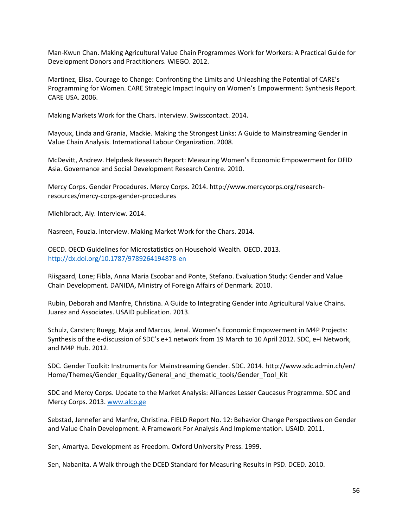Man-Kwun Chan. Making Agricultural Value Chain Programmes Work for Workers: A Practical Guide for Development Donors and Practitioners. WIEGO. 2012.

Martinez, Elisa. Courage to Change: Confronting the Limits and Unleashing the Potential of CARE's Programming for Women. CARE Strategic Impact Inquiry on Women's Empowerment: Synthesis Report. CARE USA. 2006.

Making Markets Work for the Chars. Interview. Swisscontact. 2014.

Mayoux, Linda and Grania, Mackie. Making the Strongest Links: A Guide to Mainstreaming Gender in Value Chain Analysis. International Labour Organization. 2008.

McDevitt, Andrew. Helpdesk Research Report: Measuring Women's Economic Empowerment for DFID Asia. Governance and Social Development Research Centre. 2010.

Mercy Corps. Gender Procedures. Mercy Corps. 2014. http://www.mercycorps.org/researchresources/mercy-corps-gender-procedures

Miehlbradt, Aly. Interview. 2014.

Nasreen, Fouzia. Interview. Making Market Work for the Chars. 2014.

OECD. OECD Guidelines for Microstatistics on Household Wealth. OECD. 2013. <http://dx.doi.org/10.1787/9789264194878-en>

Riisgaard, Lone; Fibla, Anna Maria Escobar and Ponte, Stefano. Evaluation Study: Gender and Value Chain Development. DANIDA, Ministry of Foreign Affairs of Denmark. 2010.

Rubin, Deborah and Manfre, Christina. A Guide to Integrating Gender into Agricultural Value Chains. Juarez and Associates. USAID publication. 2013.

Schulz, Carsten; Ruegg, Maja and Marcus, Jenal. Women's Economic Empowerment in M4P Projects: Synthesis of the e-discussion of SDC's e+1 network from 19 March to 10 April 2012. SDC, e+I Network, and M4P Hub. 2012.

SDC. Gender Toolkit: Instruments for Mainstreaming Gender. SDC. 2014. http://www.sdc.admin.ch/en/ Home/Themes/Gender\_Equality/General\_and\_thematic\_tools/Gender\_Tool\_Kit

SDC and Mercy Corps. Update to the Market Analysis: Alliances Lesser Caucasus Programme. SDC and Mercy Corps. 2013. [www.alcp.ge](http://www.alcp.ge/)

Sebstad, Jennefer and Manfre, Christina. FIELD Report No. 12: Behavior Change Perspectives on Gender and Value Chain Development. A Framework For Analysis And Implementation. USAID. 2011.

Sen, Amartya. Development as Freedom. Oxford University Press. 1999.

Sen, Nabanita. A Walk through the DCED Standard for Measuring Results in PSD. DCED. 2010.